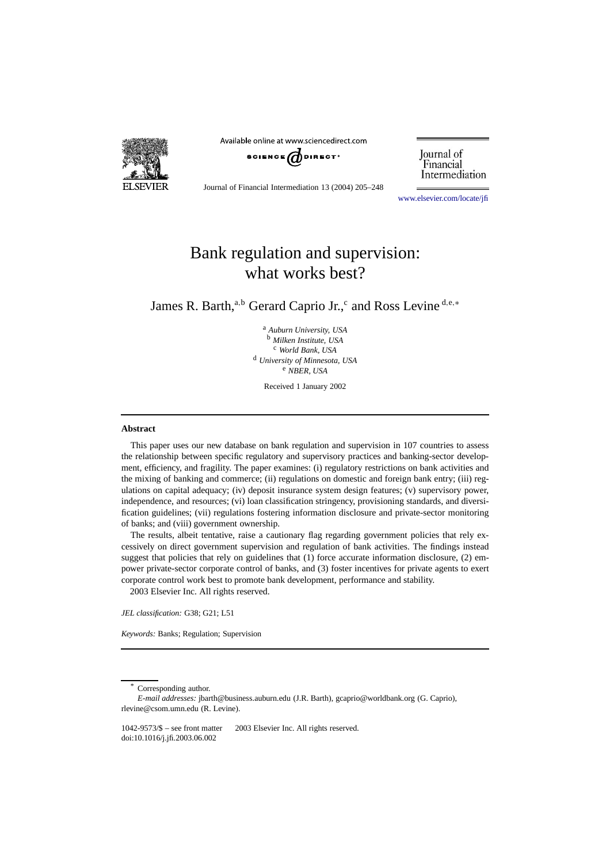



Journal of Financial Intermediation 13 (2004) 205–248

Journal of Financial Intermediation

[www.elsevier.com/locate/jfi](http://www.elsevier.com/locate/jfi)

# Bank regulation and supervision: what works best?

James R. Barth,<sup>a,b</sup> Gerard Caprio Jr.,<sup>c</sup> and Ross Levine<sup>d,e,\*</sup>

<sup>a</sup> *Auburn University, USA* <sup>b</sup> *Milken Institute, USA* <sup>c</sup> *World Bank, USA* <sup>d</sup> *University of Minnesota, USA* <sup>e</sup> *NBER, USA*

Received 1 January 2002

#### **Abstract**

This paper uses our new database on bank regulation and supervision in 107 countries to assess the relationship between specific regulatory and supervisory practices and banking-sector development, efficiency, and fragility. The paper examines: (i) regulatory restrictions on bank activities and the mixing of banking and commerce; (ii) regulations on domestic and foreign bank entry; (iii) regulations on capital adequacy; (iv) deposit insurance system design features; (v) supervisory power, independence, and resources; (vi) loan classification stringency, provisioning standards, and diversification guidelines; (vii) regulations fostering information disclosure and private-sector monitoring of banks; and (viii) government ownership.

The results, albeit tentative, raise a cautionary flag regarding government policies that rely excessively on direct government supervision and regulation of bank activities. The findings instead suggest that policies that rely on guidelines that (1) force accurate information disclosure, (2) empower private-sector corporate control of banks, and (3) foster incentives for private agents to exert corporate control work best to promote bank development, performance and stability. 2003 Elsevier Inc. All rights reserved.

*JEL classification:* G38; G21; L51

*Keywords:* Banks; Regulation; Supervision

Corresponding author.

*E-mail addresses:* jbarth@business.auburn.edu (J.R. Barth), gcaprio@worldbank.org (G. Caprio), rlevine@csom.umn.edu (R. Levine).

<sup>1042-9573/\$ –</sup> see front matter 2003 Elsevier Inc. All rights reserved. doi:10.1016/j.jfi.2003.06.002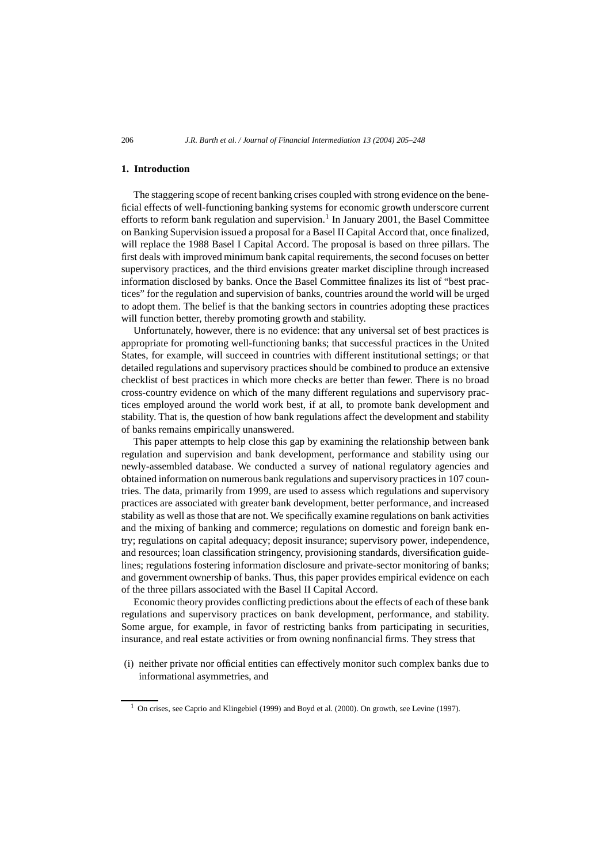### **1. Introduction**

The staggering scope of recent banking crises coupled with strong evidence on the beneficial effects of well-functioning banking systems for economic growth underscore current efforts to reform bank regulation and supervision.<sup>1</sup> In January 2001, the Basel Committee on Banking Supervision issued a proposal for a Basel II Capital Accord that, once finalized, will replace the 1988 Basel I Capital Accord. The proposal is based on three pillars. The first deals with improved minimum bank capital requirements, the second focuses on better supervisory practices, and the third envisions greater market discipline through increased information disclosed by banks. Once the Basel Committee finalizes its list of "best practices" for the regulation and supervision of banks, countries around the world will be urged to adopt them. The belief is that the banking sectors in countries adopting these practices will function better, thereby promoting growth and stability.

Unfortunately, however, there is no evidence: that any universal set of best practices is appropriate for promoting well-functioning banks; that successful practices in the United States, for example, will succeed in countries with different institutional settings; or that detailed regulations and supervisory practices should be combined to produce an extensive checklist of best practices in which more checks are better than fewer. There is no broad cross-country evidence on which of the many different regulations and supervisory practices employed around the world work best, if at all, to promote bank development and stability. That is, the question of how bank regulations affect the development and stability of banks remains empirically unanswered.

This paper attempts to help close this gap by examining the relationship between bank regulation and supervision and bank development, performance and stability using our newly-assembled database. We conducted a survey of national regulatory agencies and obtained information on numerous bank regulations and supervisory practices in 107 countries. The data, primarily from 1999, are used to assess which regulations and supervisory practices are associated with greater bank development, better performance, and increased stability as well as those that are not. We specifically examine regulations on bank activities and the mixing of banking and commerce; regulations on domestic and foreign bank entry; regulations on capital adequacy; deposit insurance; supervisory power, independence, and resources; loan classification stringency, provisioning standards, diversification guidelines; regulations fostering information disclosure and private-sector monitoring of banks; and government ownership of banks. Thus, this paper provides empirical evidence on each of the three pillars associated with the Basel II Capital Accord.

Economic theory provides conflicting predictions about the effects of each of these bank regulations and supervisory practices on bank development, performance, and stability. Some argue, for example, in favor of restricting banks from participating in securities, insurance, and real estate activities or from owning nonfinancial firms. They stress that

(i) neither private nor official entities can effectively monitor such complex banks due to informational asymmetries, and

<sup>&</sup>lt;sup>1</sup> On crises, see Caprio and Klingebiel (1999) and Boyd et al. (2000). On growth, see Levine (1997).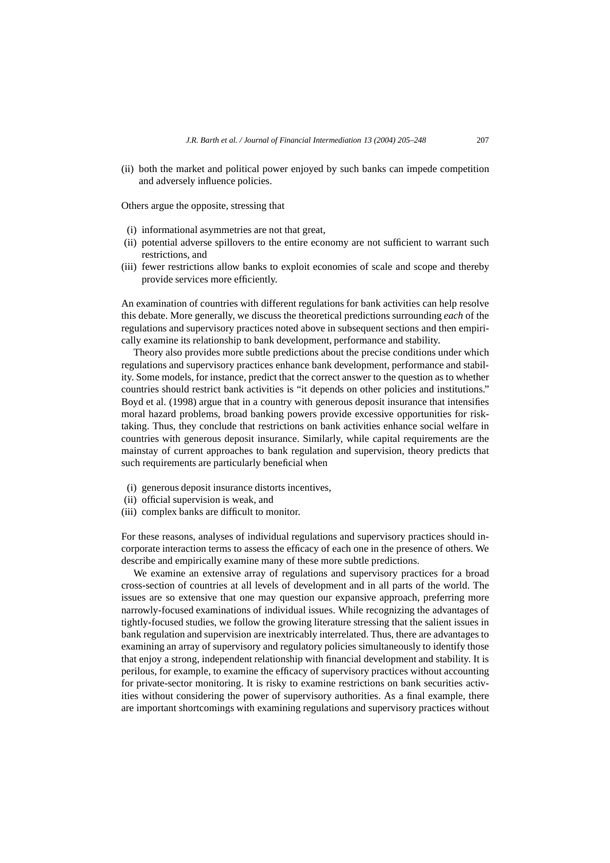(ii) both the market and political power enjoyed by such banks can impede competition and adversely influence policies.

Others argue the opposite, stressing that

- (i) informational asymmetries are not that great,
- (ii) potential adverse spillovers to the entire economy are not sufficient to warrant such restrictions, and
- (iii) fewer restrictions allow banks to exploit economies of scale and scope and thereby provide services more efficiently.

An examination of countries with different regulations for bank activities can help resolve this debate. More generally, we discuss the theoretical predictions surrounding *each* of the regulations and supervisory practices noted above in subsequent sections and then empirically examine its relationship to bank development, performance and stability.

Theory also provides more subtle predictions about the precise conditions under which regulations and supervisory practices enhance bank development, performance and stability. Some models, for instance, predict that the correct answer to the question as to whether countries should restrict bank activities is "it depends on other policies and institutions." Boyd et al. (1998) argue that in a country with generous deposit insurance that intensifies moral hazard problems, broad banking powers provide excessive opportunities for risktaking. Thus, they conclude that restrictions on bank activities enhance social welfare in countries with generous deposit insurance. Similarly, while capital requirements are the mainstay of current approaches to bank regulation and supervision, theory predicts that such requirements are particularly beneficial when

- (i) generous deposit insurance distorts incentives,
- (ii) official supervision is weak, and
- (iii) complex banks are difficult to monitor.

For these reasons, analyses of individual regulations and supervisory practices should incorporate interaction terms to assess the efficacy of each one in the presence of others. We describe and empirically examine many of these more subtle predictions.

We examine an extensive array of regulations and supervisory practices for a broad cross-section of countries at all levels of development and in all parts of the world. The issues are so extensive that one may question our expansive approach, preferring more narrowly-focused examinations of individual issues. While recognizing the advantages of tightly-focused studies, we follow the growing literature stressing that the salient issues in bank regulation and supervision are inextricably interrelated. Thus, there are advantages to examining an array of supervisory and regulatory policies simultaneously to identify those that enjoy a strong, independent relationship with financial development and stability. It is perilous, for example, to examine the efficacy of supervisory practices without accounting for private-sector monitoring. It is risky to examine restrictions on bank securities activities without considering the power of supervisory authorities. As a final example, there are important shortcomings with examining regulations and supervisory practices without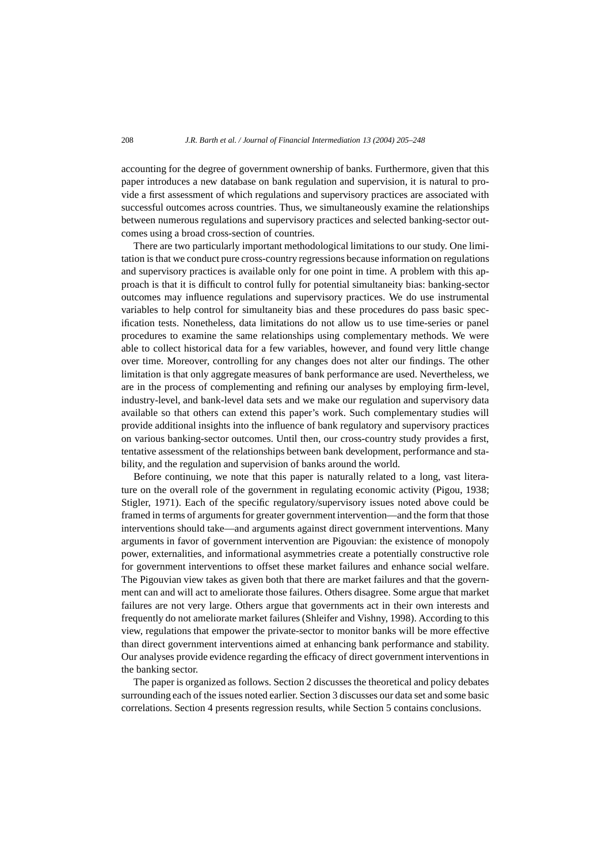accounting for the degree of government ownership of banks. Furthermore, given that this paper introduces a new database on bank regulation and supervision, it is natural to provide a first assessment of which regulations and supervisory practices are associated with successful outcomes across countries. Thus, we simultaneously examine the relationships between numerous regulations and supervisory practices and selected banking-sector outcomes using a broad cross-section of countries.

There are two particularly important methodological limitations to our study. One limitation is that we conduct pure cross-country regressions because information on regulations and supervisory practices is available only for one point in time. A problem with this approach is that it is difficult to control fully for potential simultaneity bias: banking-sector outcomes may influence regulations and supervisory practices. We do use instrumental variables to help control for simultaneity bias and these procedures do pass basic specification tests. Nonetheless, data limitations do not allow us to use time-series or panel procedures to examine the same relationships using complementary methods. We were able to collect historical data for a few variables, however, and found very little change over time. Moreover, controlling for any changes does not alter our findings. The other limitation is that only aggregate measures of bank performance are used. Nevertheless, we are in the process of complementing and refining our analyses by employing firm-level, industry-level, and bank-level data sets and we make our regulation and supervisory data available so that others can extend this paper's work. Such complementary studies will provide additional insights into the influence of bank regulatory and supervisory practices on various banking-sector outcomes. Until then, our cross-country study provides a first, tentative assessment of the relationships between bank development, performance and stability, and the regulation and supervision of banks around the world.

Before continuing, we note that this paper is naturally related to a long, vast literature on the overall role of the government in regulating economic activity (Pigou, 1938; Stigler, 1971). Each of the specific regulatory/supervisory issues noted above could be framed in terms of arguments for greater government intervention—and the form that those interventions should take—and arguments against direct government interventions. Many arguments in favor of government intervention are Pigouvian: the existence of monopoly power, externalities, and informational asymmetries create a potentially constructive role for government interventions to offset these market failures and enhance social welfare. The Pigouvian view takes as given both that there are market failures and that the government can and will act to ameliorate those failures. Others disagree. Some argue that market failures are not very large. Others argue that governments act in their own interests and frequently do not ameliorate market failures (Shleifer and Vishny, 1998). According to this view, regulations that empower the private-sector to monitor banks will be more effective than direct government interventions aimed at enhancing bank performance and stability. Our analyses provide evidence regarding the efficacy of direct government interventions in the banking sector.

The paper is organized as follows. Section 2 discusses the theoretical and policy debates surrounding each of the issues noted earlier. Section 3 discusses our data set and some basic correlations. Section 4 presents regression results, while Section 5 contains conclusions.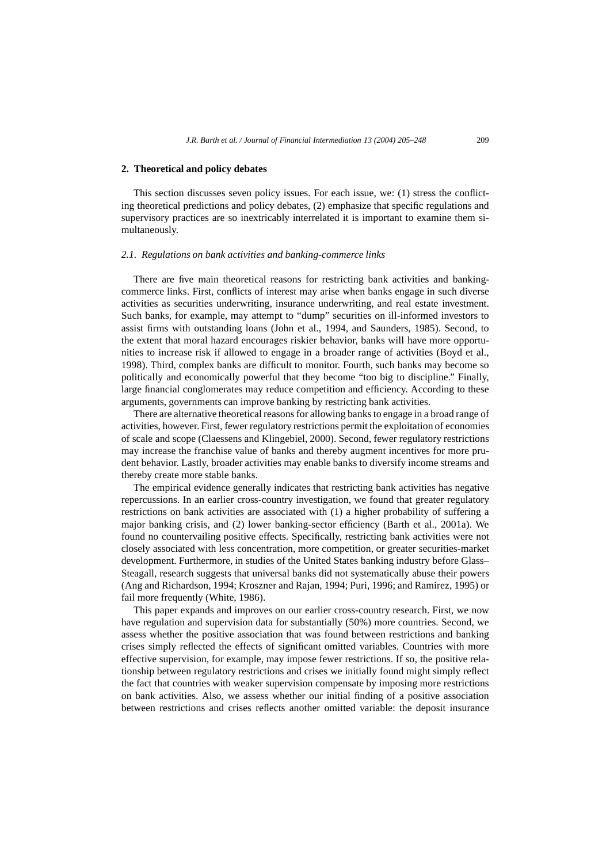## **2. Theoretical and policy debates**

This section discusses seven policy issues. For each issue, we: (1) stress the conflicting theoretical predictions and policy debates, (2) emphasize that specific regulations and supervisory practices are so inextricably interrelated it is important to examine them simultaneously.

# *2.1. Regulations on bank activities and banking-commerce links*

There are five main theoretical reasons for restricting bank activities and bankingcommerce links. First, conflicts of interest may arise when banks engage in such diverse activities as securities underwriting, insurance underwriting, and real estate investment. Such banks, for example, may attempt to "dump" securities on ill-informed investors to assist firms with outstanding loans (John et al., 1994, and Saunders, 1985). Second, to the extent that moral hazard encourages riskier behavior, banks will have more opportunities to increase risk if allowed to engage in a broader range of activities (Boyd et al., 1998). Third, complex banks are difficult to monitor. Fourth, such banks may become so politically and economically powerful that they become "too big to discipline." Finally, large financial conglomerates may reduce competition and efficiency. According to these arguments, governments can improve banking by restricting bank activities.

There are alternative theoretical reasons for allowing banks to engage in a broad range of activities, however. First, fewer regulatory restrictions permit the exploitation of economies of scale and scope (Claessens and Klingebiel, 2000). Second, fewer regulatory restrictions may increase the franchise value of banks and thereby augment incentives for more prudent behavior. Lastly, broader activities may enable banks to diversify income streams and thereby create more stable banks.

The empirical evidence generally indicates that restricting bank activities has negative repercussions. In an earlier cross-country investigation, we found that greater regulatory restrictions on bank activities are associated with (1) a higher probability of suffering a major banking crisis, and (2) lower banking-sector efficiency (Barth et al., 2001a). We found no countervailing positive effects. Specifically, restricting bank activities were not closely associated with less concentration, more competition, or greater securities-market development. Furthermore, in studies of the United States banking industry before Glass– Steagall, research suggests that universal banks did not systematically abuse their powers (Ang and Richardson, 1994; Kroszner and Rajan, 1994; Puri, 1996; and Ramirez, 1995) or fail more frequently (White, 1986).

This paper expands and improves on our earlier cross-country research. First, we now have regulation and supervision data for substantially (50%) more countries. Second, we assess whether the positive association that was found between restrictions and banking crises simply reflected the effects of significant omitted variables. Countries with more effective supervision, for example, may impose fewer restrictions. If so, the positive relationship between regulatory restrictions and crises we initially found might simply reflect the fact that countries with weaker supervision compensate by imposing more restrictions on bank activities. Also, we assess whether our initial finding of a positive association between restrictions and crises reflects another omitted variable: the deposit insurance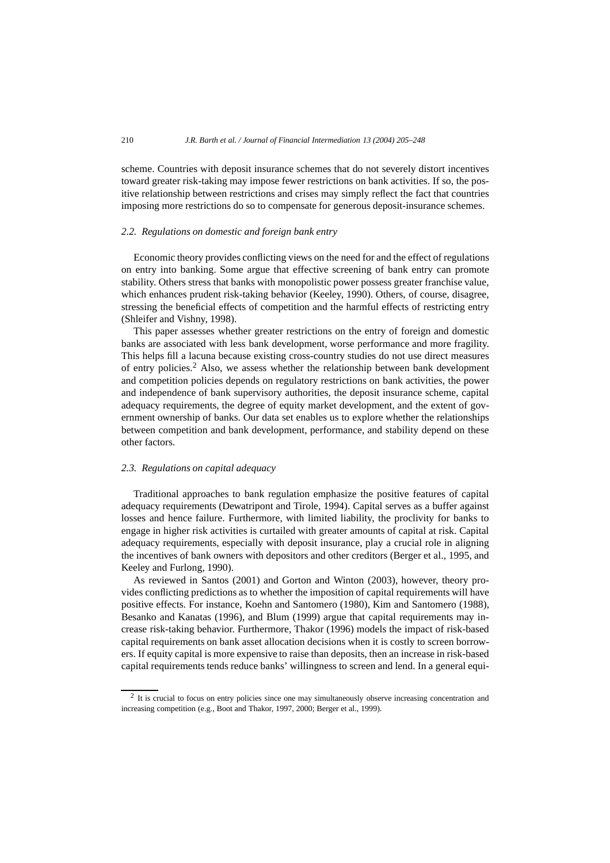scheme. Countries with deposit insurance schemes that do not severely distort incentives toward greater risk-taking may impose fewer restrictions on bank activities. If so, the positive relationship between restrictions and crises may simply reflect the fact that countries imposing more restrictions do so to compensate for generous deposit-insurance schemes.

## *2.2. Regulations on domestic and foreign bank entry*

Economic theory provides conflicting views on the need for and the effect of regulations on entry into banking. Some argue that effective screening of bank entry can promote stability. Others stress that banks with monopolistic power possess greater franchise value, which enhances prudent risk-taking behavior (Keeley, 1990). Others, of course, disagree, stressing the beneficial effects of competition and the harmful effects of restricting entry (Shleifer and Vishny, 1998).

This paper assesses whether greater restrictions on the entry of foreign and domestic banks are associated with less bank development, worse performance and more fragility. This helps fill a lacuna because existing cross-country studies do not use direct measures of entry policies.<sup>2</sup> Also, we assess whether the relationship between bank development and competition policies depends on regulatory restrictions on bank activities, the power and independence of bank supervisory authorities, the deposit insurance scheme, capital adequacy requirements, the degree of equity market development, and the extent of government ownership of banks. Our data set enables us to explore whether the relationships between competition and bank development, performance, and stability depend on these other factors.

# *2.3. Regulations on capital adequacy*

Traditional approaches to bank regulation emphasize the positive features of capital adequacy requirements (Dewatripont and Tirole, 1994). Capital serves as a buffer against losses and hence failure. Furthermore, with limited liability, the proclivity for banks to engage in higher risk activities is curtailed with greater amounts of capital at risk. Capital adequacy requirements, especially with deposit insurance, play a crucial role in aligning the incentives of bank owners with depositors and other creditors (Berger et al., 1995, and Keeley and Furlong, 1990).

As reviewed in Santos (2001) and Gorton and Winton (2003), however, theory provides conflicting predictions as to whether the imposition of capital requirements will have positive effects. For instance, Koehn and Santomero (1980), Kim and Santomero (1988), Besanko and Kanatas (1996), and Blum (1999) argue that capital requirements may increase risk-taking behavior. Furthermore, Thakor (1996) models the impact of risk-based capital requirements on bank asset allocation decisions when it is costly to screen borrowers. If equity capital is more expensive to raise than deposits, then an increase in risk-based capital requirements tends reduce banks' willingness to screen and lend. In a general equi-

<sup>&</sup>lt;sup>2</sup> It is crucial to focus on entry policies since one may simultaneously observe increasing concentration and increasing competition (e.g., Boot and Thakor, 1997, 2000; Berger et al., 1999).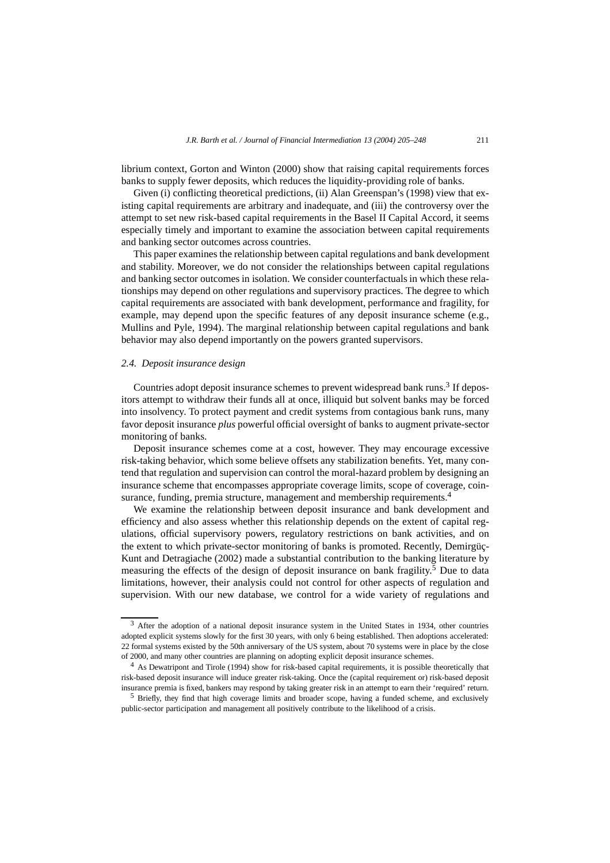librium context, Gorton and Winton (2000) show that raising capital requirements forces banks to supply fewer deposits, which reduces the liquidity-providing role of banks.

Given (i) conflicting theoretical predictions, (ii) Alan Greenspan's (1998) view that existing capital requirements are arbitrary and inadequate, and (iii) the controversy over the attempt to set new risk-based capital requirements in the Basel II Capital Accord, it seems especially timely and important to examine the association between capital requirements and banking sector outcomes across countries.

This paper examines the relationship between capital regulations and bank development and stability. Moreover, we do not consider the relationships between capital regulations and banking sector outcomes in isolation. We consider counterfactuals in which these relationships may depend on other regulations and supervisory practices. The degree to which capital requirements are associated with bank development, performance and fragility, for example, may depend upon the specific features of any deposit insurance scheme (e.g., Mullins and Pyle, 1994). The marginal relationship between capital regulations and bank behavior may also depend importantly on the powers granted supervisors.

## *2.4. Deposit insurance design*

Countries adopt deposit insurance schemes to prevent widespread bank runs.<sup>3</sup> If depositors attempt to withdraw their funds all at once, illiquid but solvent banks may be forced into insolvency. To protect payment and credit systems from contagious bank runs, many favor deposit insurance *plus* powerful official oversight of banks to augment private-sector monitoring of banks.

Deposit insurance schemes come at a cost, however. They may encourage excessive risk-taking behavior, which some believe offsets any stabilization benefits. Yet, many contend that regulation and supervision can control the moral-hazard problem by designing an insurance scheme that encompasses appropriate coverage limits, scope of coverage, coinsurance, funding, premia structure, management and membership requirements.<sup>4</sup>

We examine the relationship between deposit insurance and bank development and efficiency and also assess whether this relationship depends on the extent of capital regulations, official supervisory powers, regulatory restrictions on bank activities, and on the extent to which private-sector monitoring of banks is promoted. Recently, Demirgüç-Kunt and Detragiache (2002) made a substantial contribution to the banking literature by measuring the effects of the design of deposit insurance on bank fragility.<sup>5</sup> Due to data limitations, however, their analysis could not control for other aspects of regulation and supervision. With our new database, we control for a wide variety of regulations and

<sup>&</sup>lt;sup>3</sup> After the adoption of a national deposit insurance system in the United States in 1934, other countries adopted explicit systems slowly for the first 30 years, with only 6 being established. Then adoptions accelerated: 22 formal systems existed by the 50th anniversary of the US system, about 70 systems were in place by the close of 2000, and many other countries are planning on adopting explicit deposit insurance schemes.

<sup>&</sup>lt;sup>4</sup> As Dewatripont and Tirole (1994) show for risk-based capital requirements, it is possible theoretically that risk-based deposit insurance will induce greater risk-taking. Once the (capital requirement or) risk-based deposit insurance premia is fixed, bankers may respond by taking greater risk in an attempt to earn their 'required' return.

<sup>5</sup> Briefly, they find that high coverage limits and broader scope, having a funded scheme, and exclusively public-sector participation and management all positively contribute to the likelihood of a crisis.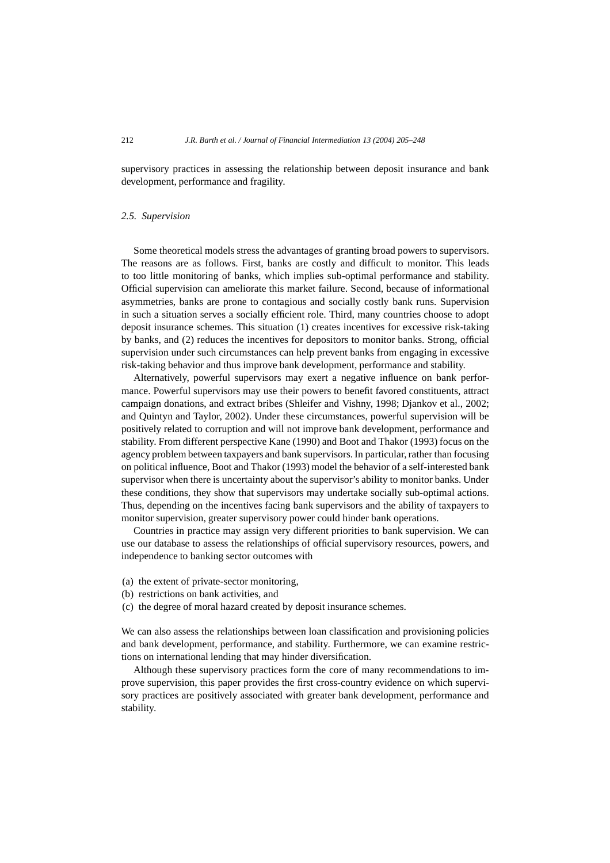supervisory practices in assessing the relationship between deposit insurance and bank development, performance and fragility.

# *2.5. Supervision*

Some theoretical models stress the advantages of granting broad powers to supervisors. The reasons are as follows. First, banks are costly and difficult to monitor. This leads to too little monitoring of banks, which implies sub-optimal performance and stability. Official supervision can ameliorate this market failure. Second, because of informational asymmetries, banks are prone to contagious and socially costly bank runs. Supervision in such a situation serves a socially efficient role. Third, many countries choose to adopt deposit insurance schemes. This situation (1) creates incentives for excessive risk-taking by banks, and (2) reduces the incentives for depositors to monitor banks. Strong, official supervision under such circumstances can help prevent banks from engaging in excessive risk-taking behavior and thus improve bank development, performance and stability.

Alternatively, powerful supervisors may exert a negative influence on bank performance. Powerful supervisors may use their powers to benefit favored constituents, attract campaign donations, and extract bribes (Shleifer and Vishny, 1998; Djankov et al., 2002; and Quintyn and Taylor, 2002). Under these circumstances, powerful supervision will be positively related to corruption and will not improve bank development, performance and stability. From different perspective Kane (1990) and Boot and Thakor (1993) focus on the agency problem between taxpayers and bank supervisors. In particular, rather than focusing on political influence, Boot and Thakor (1993) model the behavior of a self-interested bank supervisor when there is uncertainty about the supervisor's ability to monitor banks. Under these conditions, they show that supervisors may undertake socially sub-optimal actions. Thus, depending on the incentives facing bank supervisors and the ability of taxpayers to monitor supervision, greater supervisory power could hinder bank operations.

Countries in practice may assign very different priorities to bank supervision. We can use our database to assess the relationships of official supervisory resources, powers, and independence to banking sector outcomes with

- (a) the extent of private-sector monitoring,
- (b) restrictions on bank activities, and
- (c) the degree of moral hazard created by deposit insurance schemes.

We can also assess the relationships between loan classification and provisioning policies and bank development, performance, and stability. Furthermore, we can examine restrictions on international lending that may hinder diversification.

Although these supervisory practices form the core of many recommendations to improve supervision, this paper provides the first cross-country evidence on which supervisory practices are positively associated with greater bank development, performance and stability.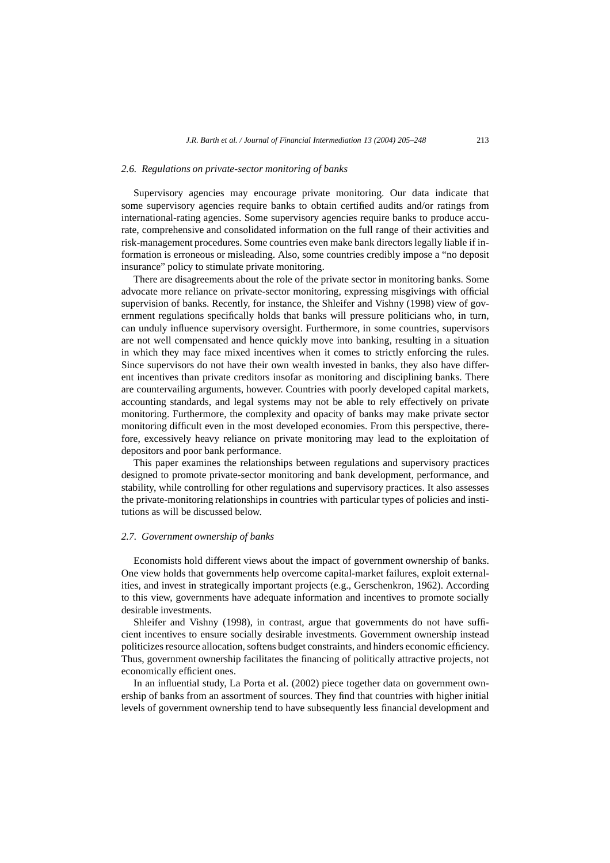#### *2.6. Regulations on private-sector monitoring of banks*

Supervisory agencies may encourage private monitoring. Our data indicate that some supervisory agencies require banks to obtain certified audits and/or ratings from international-rating agencies. Some supervisory agencies require banks to produce accurate, comprehensive and consolidated information on the full range of their activities and risk-management procedures. Some countries even make bank directors legally liable if information is erroneous or misleading. Also, some countries credibly impose a "no deposit insurance" policy to stimulate private monitoring.

There are disagreements about the role of the private sector in monitoring banks. Some advocate more reliance on private-sector monitoring, expressing misgivings with official supervision of banks. Recently, for instance, the Shleifer and Vishny (1998) view of government regulations specifically holds that banks will pressure politicians who, in turn, can unduly influence supervisory oversight. Furthermore, in some countries, supervisors are not well compensated and hence quickly move into banking, resulting in a situation in which they may face mixed incentives when it comes to strictly enforcing the rules. Since supervisors do not have their own wealth invested in banks, they also have different incentives than private creditors insofar as monitoring and disciplining banks. There are countervailing arguments, however. Countries with poorly developed capital markets, accounting standards, and legal systems may not be able to rely effectively on private monitoring. Furthermore, the complexity and opacity of banks may make private sector monitoring difficult even in the most developed economies. From this perspective, therefore, excessively heavy reliance on private monitoring may lead to the exploitation of depositors and poor bank performance.

This paper examines the relationships between regulations and supervisory practices designed to promote private-sector monitoring and bank development, performance, and stability, while controlling for other regulations and supervisory practices. It also assesses the private-monitoring relationships in countries with particular types of policies and institutions as will be discussed below.

## *2.7. Government ownership of banks*

Economists hold different views about the impact of government ownership of banks. One view holds that governments help overcome capital-market failures, exploit externalities, and invest in strategically important projects (e.g., Gerschenkron, 1962). According to this view, governments have adequate information and incentives to promote socially desirable investments.

Shleifer and Vishny (1998), in contrast, argue that governments do not have sufficient incentives to ensure socially desirable investments. Government ownership instead politicizes resource allocation, softens budget constraints, and hinders economic efficiency. Thus, government ownership facilitates the financing of politically attractive projects, not economically efficient ones.

In an influential study, La Porta et al. (2002) piece together data on government ownership of banks from an assortment of sources. They find that countries with higher initial levels of government ownership tend to have subsequently less financial development and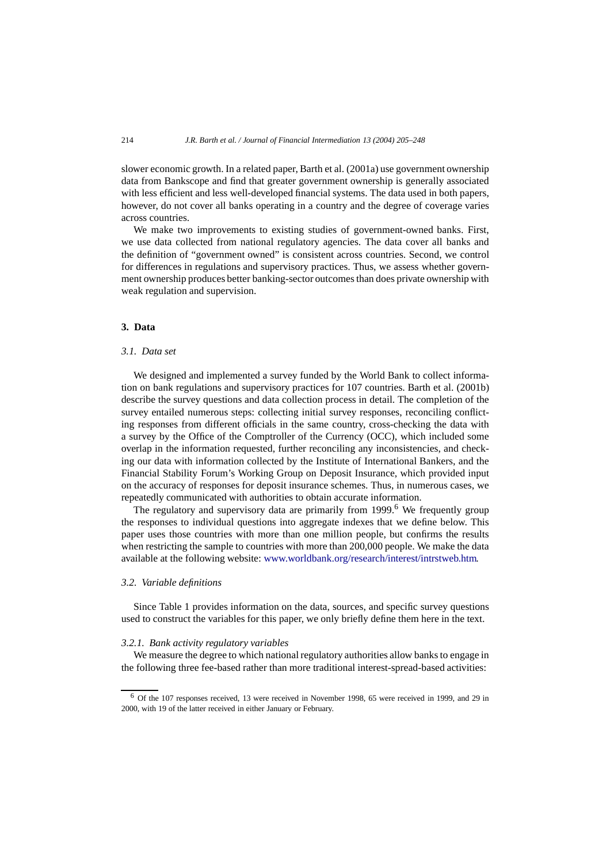slower economic growth. In a related paper, Barth et al. (2001a) use government ownership data from Bankscope and find that greater government ownership is generally associated with less efficient and less well-developed financial systems. The data used in both papers, however, do not cover all banks operating in a country and the degree of coverage varies across countries.

We make two improvements to existing studies of government-owned banks. First, we use data collected from national regulatory agencies. The data cover all banks and the definition of "government owned" is consistent across countries. Second, we control for differences in regulations and supervisory practices. Thus, we assess whether government ownership produces better banking-sector outcomes than does private ownership with weak regulation and supervision.

## **3. Data**

## *3.1. Data set*

We designed and implemented a survey funded by the World Bank to collect information on bank regulations and supervisory practices for 107 countries. Barth et al. (2001b) describe the survey questions and data collection process in detail. The completion of the survey entailed numerous steps: collecting initial survey responses, reconciling conflicting responses from different officials in the same country, cross-checking the data with a survey by the Office of the Comptroller of the Currency (OCC), which included some overlap in the information requested, further reconciling any inconsistencies, and checking our data with information collected by the Institute of International Bankers, and the Financial Stability Forum's Working Group on Deposit Insurance, which provided input on the accuracy of responses for deposit insurance schemes. Thus, in numerous cases, we repeatedly communicated with authorities to obtain accurate information.

The regulatory and supervisory data are primarily from 1999.<sup>6</sup> We frequently group the responses to individual questions into aggregate indexes that we define below. This paper uses those countries with more than one million people, but confirms the results when restricting the sample to countries with more than 200,000 people. We make the data available at the following website: [www.worldbank.org/research/interest/intrstweb.htm.](http://www.worldbank.org/research/interest/intrstweb.htm)

#### *3.2. Variable definitions*

Since Table 1 provides information on the data, sources, and specific survey questions used to construct the variables for this paper, we only briefly define them here in the text.

## *3.2.1. Bank activity regulatory variables*

We measure the degree to which national regulatory authorities allow banks to engage in the following three fee-based rather than more traditional interest-spread-based activities:

<sup>6</sup> Of the 107 responses received, 13 were received in November 1998, 65 were received in 1999, and 29 in 2000, with 19 of the latter received in either January or February.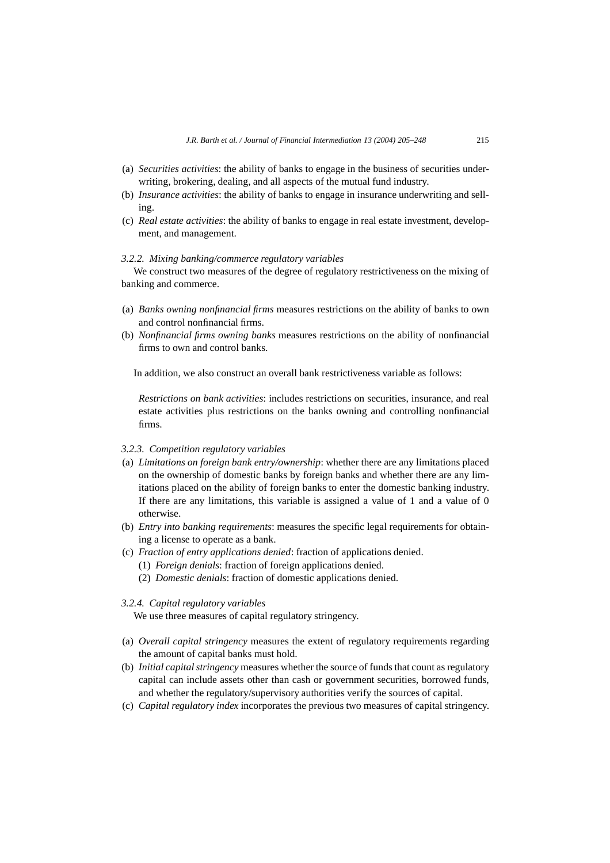- (a) *Securities activities*: the ability of banks to engage in the business of securities underwriting, brokering, dealing, and all aspects of the mutual fund industry.
- (b) *Insurance activities*: the ability of banks to engage in insurance underwriting and selling.
- (c) *Real estate activities*: the ability of banks to engage in real estate investment, development, and management.

## *3.2.2. Mixing banking/commerce regulatory variables*

We construct two measures of the degree of regulatory restrictiveness on the mixing of banking and commerce.

- (a) *Banks owning nonfinancial firms* measures restrictions on the ability of banks to own and control nonfinancial firms.
- (b) *Nonfinancial firms owning banks* measures restrictions on the ability of nonfinancial firms to own and control banks.

In addition, we also construct an overall bank restrictiveness variable as follows:

*Restrictions on bank activities*: includes restrictions on securities, insurance, and real estate activities plus restrictions on the banks owning and controlling nonfinancial firms.

## *3.2.3. Competition regulatory variables*

- (a) *Limitations on foreign bank entry/ownership*: whether there are any limitations placed on the ownership of domestic banks by foreign banks and whether there are any limitations placed on the ability of foreign banks to enter the domestic banking industry. If there are any limitations, this variable is assigned a value of 1 and a value of 0 otherwise.
- (b) *Entry into banking requirements*: measures the specific legal requirements for obtaining a license to operate as a bank.
- (c) *Fraction of entry applications denied*: fraction of applications denied.
	- (1) *Foreign denials*: fraction of foreign applications denied.
	- (2) *Domestic denials*: fraction of domestic applications denied.

## *3.2.4. Capital regulatory variables*

We use three measures of capital regulatory stringency.

- (a) *Overall capital stringency* measures the extent of regulatory requirements regarding the amount of capital banks must hold.
- (b) *Initial capital stringency* measures whether the source of funds that count as regulatory capital can include assets other than cash or government securities, borrowed funds, and whether the regulatory/supervisory authorities verify the sources of capital.
- (c) *Capital regulatory index* incorporates the previous two measures of capital stringency.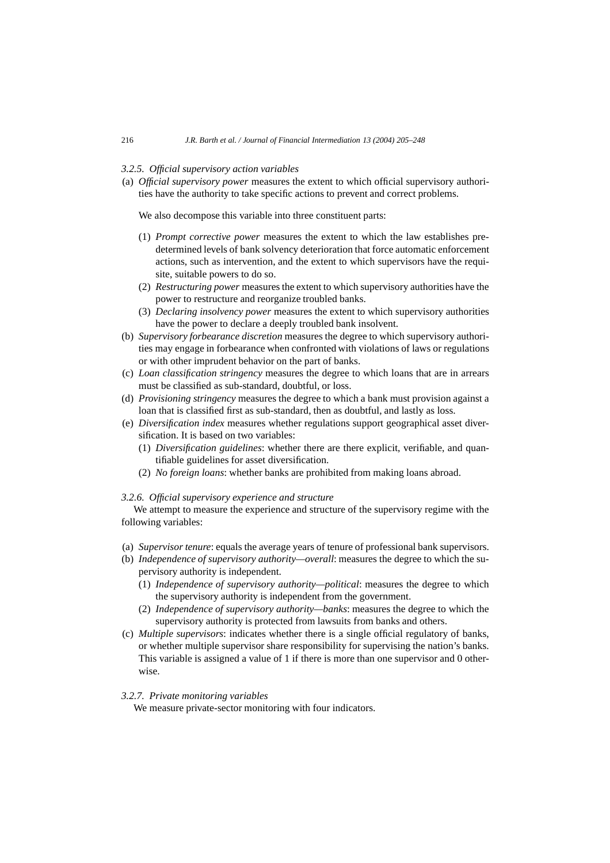## *3.2.5. Official supervisory action variables*

(a) *Official supervisory power* measures the extent to which official supervisory authorities have the authority to take specific actions to prevent and correct problems.

We also decompose this variable into three constituent parts:

- (1) *Prompt corrective power* measures the extent to which the law establishes predetermined levels of bank solvency deterioration that force automatic enforcement actions, such as intervention, and the extent to which supervisors have the requisite, suitable powers to do so.
- (2) *Restructuring power* measures the extent to which supervisory authorities have the power to restructure and reorganize troubled banks.
- (3) *Declaring insolvency power* measures the extent to which supervisory authorities have the power to declare a deeply troubled bank insolvent.
- (b) *Supervisory forbearance discretion* measures the degree to which supervisory authorities may engage in forbearance when confronted with violations of laws or regulations or with other imprudent behavior on the part of banks.
- (c) *Loan classification stringency* measures the degree to which loans that are in arrears must be classified as sub-standard, doubtful, or loss.
- (d) *Provisioning stringency* measures the degree to which a bank must provision against a loan that is classified first as sub-standard, then as doubtful, and lastly as loss.
- (e) *Diversification index* measures whether regulations support geographical asset diversification. It is based on two variables:
	- (1) *Diversification guidelines*: whether there are there explicit, verifiable, and quantifiable guidelines for asset diversification.
	- (2) *No foreign loans*: whether banks are prohibited from making loans abroad.

# *3.2.6. Official supervisory experience and structure*

We attempt to measure the experience and structure of the supervisory regime with the following variables:

- (a) *Supervisor tenure*: equals the average years of tenure of professional bank supervisors.
- (b) *Independence of supervisory authority—overall*: measures the degree to which the supervisory authority is independent.
	- (1) *Independence of supervisory authority—political*: measures the degree to which the supervisory authority is independent from the government.
	- (2) *Independence of supervisory authority—banks*: measures the degree to which the supervisory authority is protected from lawsuits from banks and others.
- (c) *Multiple supervisors*: indicates whether there is a single official regulatory of banks, or whether multiple supervisor share responsibility for supervising the nation's banks. This variable is assigned a value of 1 if there is more than one supervisor and 0 otherwise.

## *3.2.7. Private monitoring variables*

We measure private-sector monitoring with four indicators.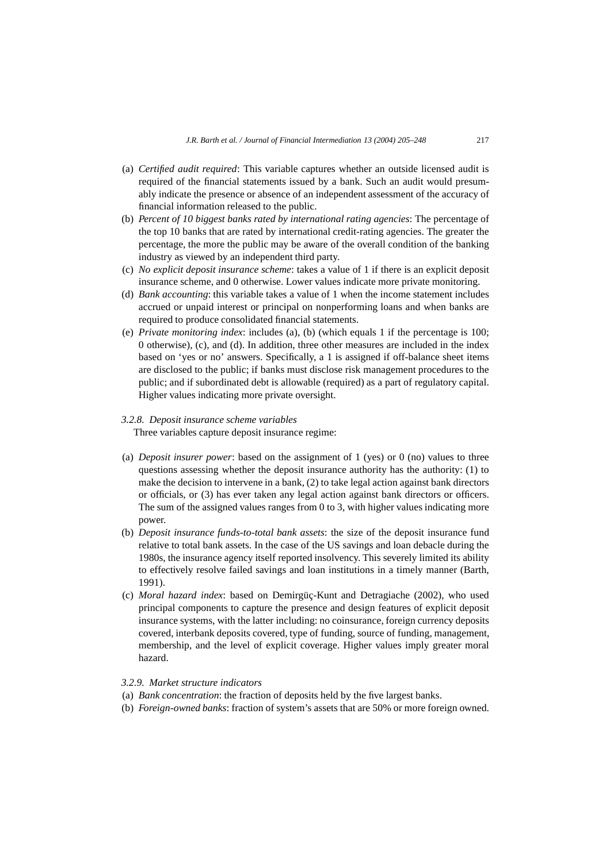- (a) *Certified audit required*: This variable captures whether an outside licensed audit is required of the financial statements issued by a bank. Such an audit would presumably indicate the presence or absence of an independent assessment of the accuracy of financial information released to the public.
- (b) *Percent of 10 biggest banks rated by international rating agencies*: The percentage of the top 10 banks that are rated by international credit-rating agencies. The greater the percentage, the more the public may be aware of the overall condition of the banking industry as viewed by an independent third party.
- (c) *No explicit deposit insurance scheme*: takes a value of 1 if there is an explicit deposit insurance scheme, and 0 otherwise. Lower values indicate more private monitoring.
- (d) *Bank accounting*: this variable takes a value of 1 when the income statement includes accrued or unpaid interest or principal on nonperforming loans and when banks are required to produce consolidated financial statements.
- (e) *Private monitoring index*: includes (a), (b) (which equals 1 if the percentage is 100; 0 otherwise), (c), and (d). In addition, three other measures are included in the index based on 'yes or no' answers. Specifically, a 1 is assigned if off-balance sheet items are disclosed to the public; if banks must disclose risk management procedures to the public; and if subordinated debt is allowable (required) as a part of regulatory capital. Higher values indicating more private oversight.

# *3.2.8. Deposit insurance scheme variables*

Three variables capture deposit insurance regime:

- (a) *Deposit insurer power*: based on the assignment of 1 (yes) or 0 (no) values to three questions assessing whether the deposit insurance authority has the authority: (1) to make the decision to intervene in a bank, (2) to take legal action against bank directors or officials, or (3) has ever taken any legal action against bank directors or officers. The sum of the assigned values ranges from 0 to 3, with higher values indicating more power.
- (b) *Deposit insurance funds-to-total bank assets*: the size of the deposit insurance fund relative to total bank assets. In the case of the US savings and loan debacle during the 1980s, the insurance agency itself reported insolvency. This severely limited its ability to effectively resolve failed savings and loan institutions in a timely manner (Barth, 1991).
- (c) *Moral hazard index*: based on Demirgüç-Kunt and Detragiache (2002), who used principal components to capture the presence and design features of explicit deposit insurance systems, with the latter including: no coinsurance, foreign currency deposits covered, interbank deposits covered, type of funding, source of funding, management, membership, and the level of explicit coverage. Higher values imply greater moral hazard.

# *3.2.9. Market structure indicators*

- (a) *Bank concentration*: the fraction of deposits held by the five largest banks.
- (b) *Foreign-owned banks*: fraction of system's assets that are 50% or more foreign owned.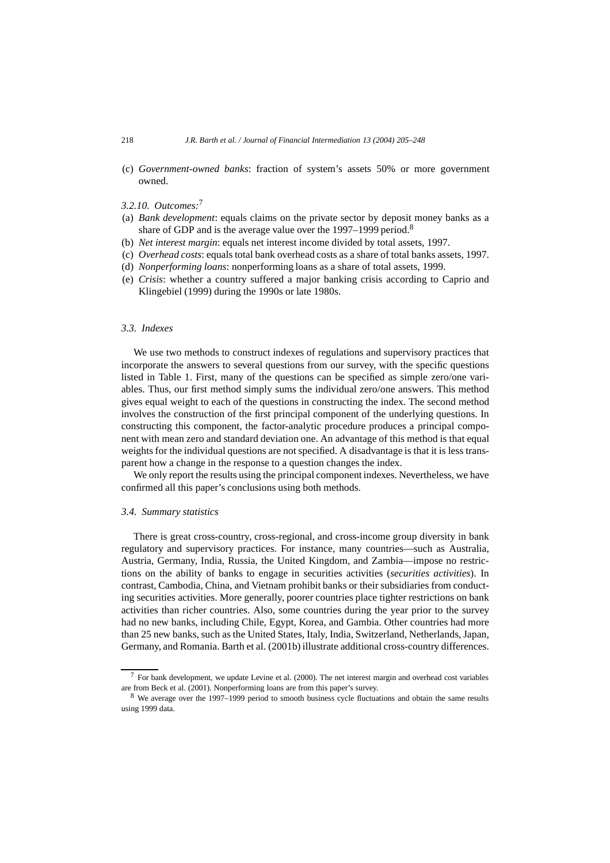- (c) *Government-owned banks*: fraction of system's assets 50% or more government owned.
- *3.2.10. Outcomes:*<sup>7</sup>
- (a) *Bank development*: equals claims on the private sector by deposit money banks as a share of GDP and is the average value over the 1997–1999 period.<sup>8</sup>
- (b) *Net interest margin*: equals net interest income divided by total assets, 1997.
- (c) *Overhead costs*: equals total bank overhead costs as a share of total banks assets, 1997.
- (d) *Nonperforming loans*: nonperforming loans as a share of total assets, 1999.
- (e) *Crisis*: whether a country suffered a major banking crisis according to Caprio and Klingebiel (1999) during the 1990s or late 1980s.

## *3.3. Indexes*

We use two methods to construct indexes of regulations and supervisory practices that incorporate the answers to several questions from our survey, with the specific questions listed in Table 1. First, many of the questions can be specified as simple zero/one variables. Thus, our first method simply sums the individual zero/one answers. This method gives equal weight to each of the questions in constructing the index. The second method involves the construction of the first principal component of the underlying questions. In constructing this component, the factor-analytic procedure produces a principal component with mean zero and standard deviation one. An advantage of this method is that equal weights for the individual questions are not specified. A disadvantage is that it is less transparent how a change in the response to a question changes the index.

We only report the results using the principal component indexes. Nevertheless, we have confirmed all this paper's conclusions using both methods.

## *3.4. Summary statistics*

There is great cross-country, cross-regional, and cross-income group diversity in bank regulatory and supervisory practices. For instance, many countries—such as Australia, Austria, Germany, India, Russia, the United Kingdom, and Zambia—impose no restrictions on the ability of banks to engage in securities activities (*securities activities*). In contrast, Cambodia, China, and Vietnam prohibit banks or their subsidiaries from conducting securities activities. More generally, poorer countries place tighter restrictions on bank activities than richer countries. Also, some countries during the year prior to the survey had no new banks, including Chile, Egypt, Korea, and Gambia. Other countries had more than 25 new banks, such as the United States, Italy, India, Switzerland, Netherlands, Japan, Germany, and Romania. Barth et al. (2001b) illustrate additional cross-country differences.

<sup>7</sup> For bank development, we update Levine et al. (2000). The net interest margin and overhead cost variables are from Beck et al. (2001). Nonperforming loans are from this paper's survey.

<sup>8</sup> We average over the 1997–1999 period to smooth business cycle fluctuations and obtain the same results using 1999 data.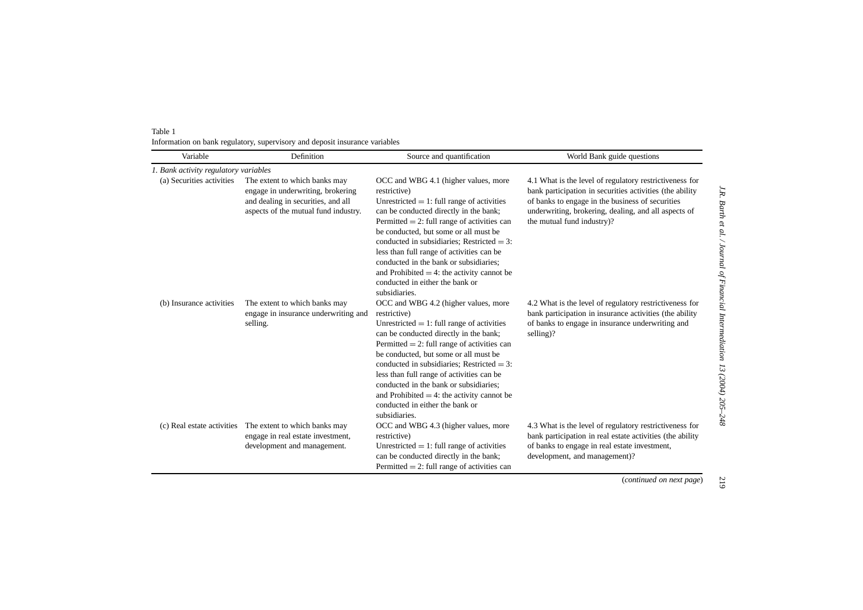| Variable                           | Definition                                                                                                                                       | Source and quantification                                                                                                                                                                                                                                                                                                                                                                                                                                                              | World Bank guide questions                                                                                                                                                                                                                                           |
|------------------------------------|--------------------------------------------------------------------------------------------------------------------------------------------------|----------------------------------------------------------------------------------------------------------------------------------------------------------------------------------------------------------------------------------------------------------------------------------------------------------------------------------------------------------------------------------------------------------------------------------------------------------------------------------------|----------------------------------------------------------------------------------------------------------------------------------------------------------------------------------------------------------------------------------------------------------------------|
| Bank activity regulatory variables |                                                                                                                                                  |                                                                                                                                                                                                                                                                                                                                                                                                                                                                                        |                                                                                                                                                                                                                                                                      |
| (a) Securities activities          | The extent to which banks may<br>engage in underwriting, brokering<br>and dealing in securities, and all<br>aspects of the mutual fund industry. | OCC and WBG 4.1 (higher values, more<br>restrictive)<br>Unrestricted $= 1$ : full range of activities<br>can be conducted directly in the bank;<br>Permitted $= 2$ : full range of activities can<br>be conducted, but some or all must be<br>conducted in subsidiaries; Restricted $=$ 3:<br>less than full range of activities can be<br>conducted in the bank or subsidiaries:<br>and Prohibited $=$ 4: the activity cannot be<br>conducted in either the bank or<br>subsidiaries.  | 4.1 What is the level of regulatory restrictiveness for<br>bank participation in securities activities (the ability<br>of banks to engage in the business of securities<br>underwriting, brokering, dealing, and all aspects of<br>the mutual fund industry)?<br>of. |
| (b) Insurance activities           | The extent to which banks may<br>engage in insurance underwriting and<br>selling.                                                                | OCC and WBG 4.2 (higher values, more<br>restrictive)<br>Unrestricted $= 1$ : full range of activities<br>can be conducted directly in the bank;<br>Permitted $= 2$ : full range of activities can<br>be conducted, but some or all must be<br>conducted in subsidiaries; Restricted $= 3$ :<br>less than full range of activities can be<br>conducted in the bank or subsidiaries:<br>and Prohibited $=$ 4: the activity cannot be<br>conducted in either the bank or<br>subsidiaries. | 4.2 What is the level of regulatory restrictiveness for<br>bank participation in insurance activities (the ability<br>of banks to engage in insurance underwriting and<br>selling)?                                                                                  |
| (c) Real estate activities         | The extent to which banks may<br>engage in real estate investment,<br>development and management.                                                | OCC and WBG 4.3 (higher values, more<br>restrictive)<br>Unrestricted $= 1$ : full range of activities<br>can be conducted directly in the bank;<br>Permitted $= 2$ : full range of activities can                                                                                                                                                                                                                                                                                      | 4.3 What is the level of regulatory restrictiveness for<br>bank participation in real estate activities (the ability<br>of banks to engage in real estate investment,<br>development, and management)?                                                               |

Table 1Information on bank regulatory, supervisory and deposit insurance variables

*J.R. Barth et al. / Journal of Financial Intermediation 13 (2004) 205–248*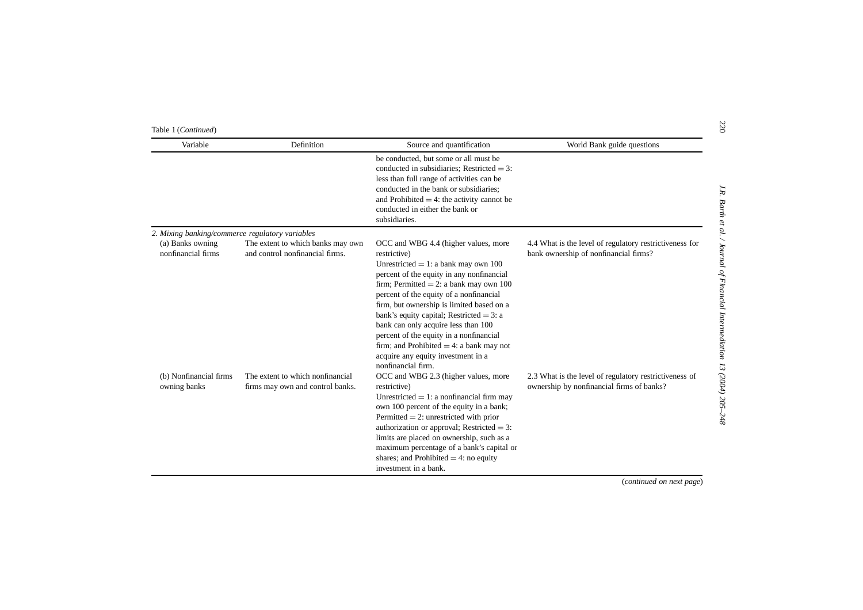| Variable                                        | Definition                                                           | Source and quantification                                                                                                                                                                                                                                                                                                                                                                                                                                                                                                 | World Bank guide questions                                                                          |
|-------------------------------------------------|----------------------------------------------------------------------|---------------------------------------------------------------------------------------------------------------------------------------------------------------------------------------------------------------------------------------------------------------------------------------------------------------------------------------------------------------------------------------------------------------------------------------------------------------------------------------------------------------------------|-----------------------------------------------------------------------------------------------------|
|                                                 |                                                                      | be conducted, but some or all must be<br>conducted in subsidiaries; Restricted $=$ 3:<br>less than full range of activities can be<br>conducted in the bank or subsidiaries;<br>and Prohibited $=$ 4: the activity cannot be<br>conducted in either the bank or<br>subsidiaries.                                                                                                                                                                                                                                          |                                                                                                     |
| 2. Mixing banking/commerce regulatory variables |                                                                      |                                                                                                                                                                                                                                                                                                                                                                                                                                                                                                                           |                                                                                                     |
| (a) Banks owning<br>nonfinancial firms          | The extent to which banks may own<br>and control nonfinancial firms. | OCC and WBG 4.4 (higher values, more<br>restrictive)<br>Unrestricted $= 1$ : a bank may own 100<br>percent of the equity in any nonfinancial<br>firm; Permitted = 2: a bank may own 100<br>percent of the equity of a nonfinancial<br>firm, but ownership is limited based on a<br>bank's equity capital; Restricted = $3: a$<br>bank can only acquire less than 100<br>percent of the equity in a nonfinancial<br>firm; and Prohibited $=$ 4: a bank may not<br>acquire any equity investment in a<br>nonfinancial firm. | 4.4 What is the level of regulatory restrictiveness for<br>bank ownership of nonfinancial firms?    |
| (b) Nonfinancial firms<br>owning banks          | The extent to which nonfinancial<br>firms may own and control banks. | OCC and WBG 2.3 (higher values, more<br>restrictive)<br>Unrestricted $= 1$ : a nonfinancial firm may<br>own 100 percent of the equity in a bank;<br>Permitted $= 2$ : unrestricted with prior<br>authorization or approval; Restricted $=$ 3:<br>limits are placed on ownership, such as a<br>maximum percentage of a bank's capital or<br>shares; and Prohibited $=$ 4: no equity<br>investment in a bank.                                                                                                               | 2.3 What is the level of regulatory restrictiveness of<br>ownership by nonfinancial firms of banks? |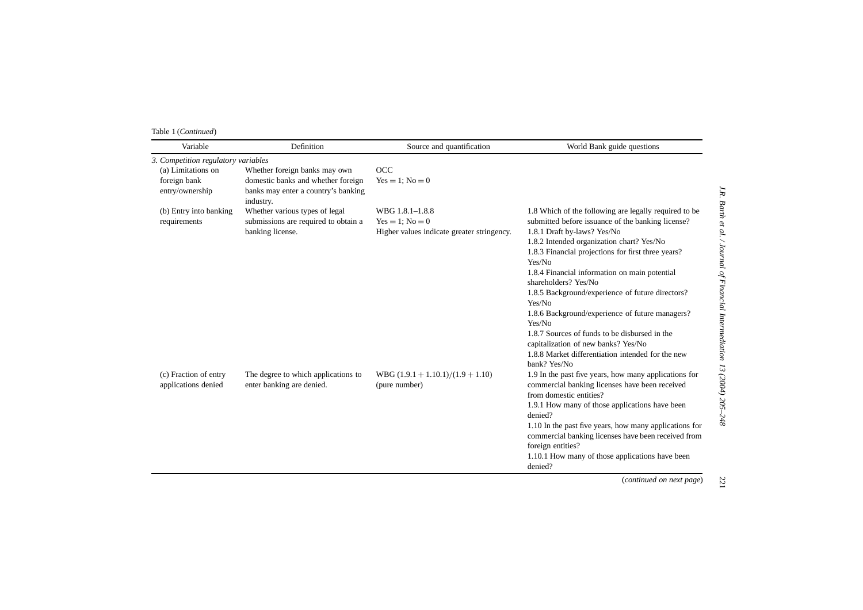Table 1 (*Continued*)

| Variable                                              | Definition                                                                                                              | Source and quantification                                                             | World Bank guide questions                                                                                                                                                                                                                                                                                                                                                                                                                                                                                                                                                                                              |
|-------------------------------------------------------|-------------------------------------------------------------------------------------------------------------------------|---------------------------------------------------------------------------------------|-------------------------------------------------------------------------------------------------------------------------------------------------------------------------------------------------------------------------------------------------------------------------------------------------------------------------------------------------------------------------------------------------------------------------------------------------------------------------------------------------------------------------------------------------------------------------------------------------------------------------|
| 3. Competition regulatory variables                   |                                                                                                                         | OCC                                                                                   |                                                                                                                                                                                                                                                                                                                                                                                                                                                                                                                                                                                                                         |
| (a) Limitations on<br>foreign bank<br>entry/ownership | Whether foreign banks may own<br>domestic banks and whether foreign<br>banks may enter a country's banking<br>industry. | $Yes = 1; No = 0$                                                                     |                                                                                                                                                                                                                                                                                                                                                                                                                                                                                                                                                                                                                         |
| (b) Entry into banking<br>requirements                | Whether various types of legal<br>submissions are required to obtain a<br>banking license.                              | WBG 1.8.1-1.8.8<br>$Yes = 1$ ; $No = 0$<br>Higher values indicate greater stringency. | 1.8 Which of the following are legally required to be<br>submitted before issuance of the banking license?<br>1.8.1 Draft by-laws? Yes/No<br>1.8.2 Intended organization chart? Yes/No<br>1.8.3 Financial projections for first three years?<br>Yes/No<br>1.8.4 Financial information on main potential<br>shareholders? Yes/No<br>1.8.5 Background/experience of future directors?<br>Yes/No<br>1.8.6 Background/experience of future managers?<br>Yes/No<br>1.8.7 Sources of funds to be disbursed in the<br>capitalization of new banks? Yes/No<br>1.8.8 Market differentiation intended for the new<br>bank? Yes/No |
| (c) Fraction of entry<br>applications denied          | The degree to which applications to<br>enter banking are denied.                                                        | WBG $(1.9.1 + 1.10.1)/(1.9 + 1.10)$<br>(pure number)                                  | 1.9 In the past five years, how many applications for<br>commercial banking licenses have been received<br>from domestic entities?<br>1.9.1 How many of those applications have been<br>denied?<br>1.10 In the past five years, how many applications for<br>commercial banking licenses have been received from<br>foreign entities?<br>1.10.1 How many of those applications have been<br>denied?<br>Continued on nort page)                                                                                                                                                                                          |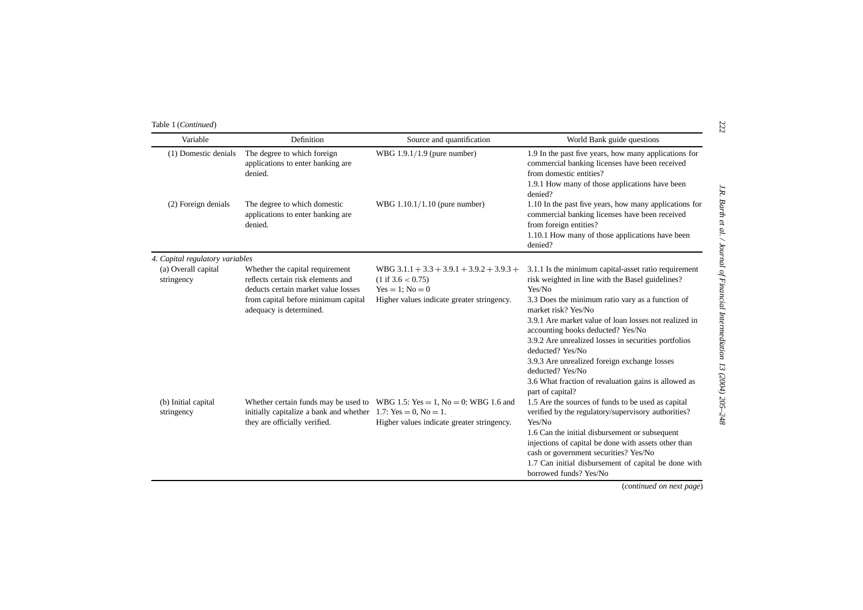| Table 1 (Continued)               |                                                                                                                                                                                |                                                                                                                                     |                                                                                                                                                                                                                                                                                                                                                                                                                                                                                                                         |
|-----------------------------------|--------------------------------------------------------------------------------------------------------------------------------------------------------------------------------|-------------------------------------------------------------------------------------------------------------------------------------|-------------------------------------------------------------------------------------------------------------------------------------------------------------------------------------------------------------------------------------------------------------------------------------------------------------------------------------------------------------------------------------------------------------------------------------------------------------------------------------------------------------------------|
| Variable                          | Definition                                                                                                                                                                     | Source and quantification                                                                                                           | World Bank guide questions                                                                                                                                                                                                                                                                                                                                                                                                                                                                                              |
| (1) Domestic denials              | The degree to which foreign<br>applications to enter banking are<br>denied.                                                                                                    | WBG $1.9.1/1.9$ (pure number)                                                                                                       | 1.9 In the past five years, how many applications for<br>commercial banking licenses have been received<br>from domestic entities?<br>1.9.1 How many of those applications have been<br>denied?                                                                                                                                                                                                                                                                                                                         |
| (2) Foreign denials               | The degree to which domestic<br>applications to enter banking are<br>denied.                                                                                                   | WBG 1.10.1/1.10 (pure number)                                                                                                       | 1.10 In the past five years, how many applications for<br>commercial banking licenses have been received<br>from foreign entities?<br>1.10.1 How many of those applications have been<br>denied?                                                                                                                                                                                                                                                                                                                        |
| 4. Capital regulatory variables   |                                                                                                                                                                                |                                                                                                                                     |                                                                                                                                                                                                                                                                                                                                                                                                                                                                                                                         |
| (a) Overall capital<br>stringency | Whether the capital requirement<br>reflects certain risk elements and<br>deducts certain market value losses<br>from capital before minimum capital<br>adequacy is determined. | WBG $3.1.1 + 3.3 + 3.9.1 + 3.9.2 + 3.9.3 +$<br>(1 if 3.6 < 0.75)<br>$Yes = 1; No = 0$<br>Higher values indicate greater stringency. | 3.1.1 Is the minimum capital-asset ratio requirement<br>risk weighted in line with the Basel guidelines?<br>Yes/No<br>3.3 Does the minimum ratio vary as a function of<br>market risk? Yes/No<br>3.9.1 Are market value of loan losses not realized in<br>accounting books deducted? Yes/No<br>3.9.2 Are unrealized losses in securities portfolios<br>deducted? Yes/No<br>3.9.3 Are unrealized foreign exchange losses<br>deducted? Yes/No<br>3.6 What fraction of revaluation gains is allowed as<br>part of capital? |
| (b) Initial capital<br>stringency | initially capitalize a bank and whether 1.7: Yes = 0, No = 1.<br>they are officially verified.                                                                                 | Whether certain funds may be used to WBG 1.5: Yes = 1, No = 0: WBG 1.6 and<br>Higher values indicate greater stringency.            | 1.5 Are the sources of funds to be used as capital<br>verified by the regulatory/supervisory authorities?<br>Yes/No<br>1.6 Can the initial disbursement or subsequent<br>injections of capital be done with assets other than<br>cash or government securities? Yes/No<br>1.7 Can initial disbursement of capital be done with<br>borrowed funds? Yes/No                                                                                                                                                                |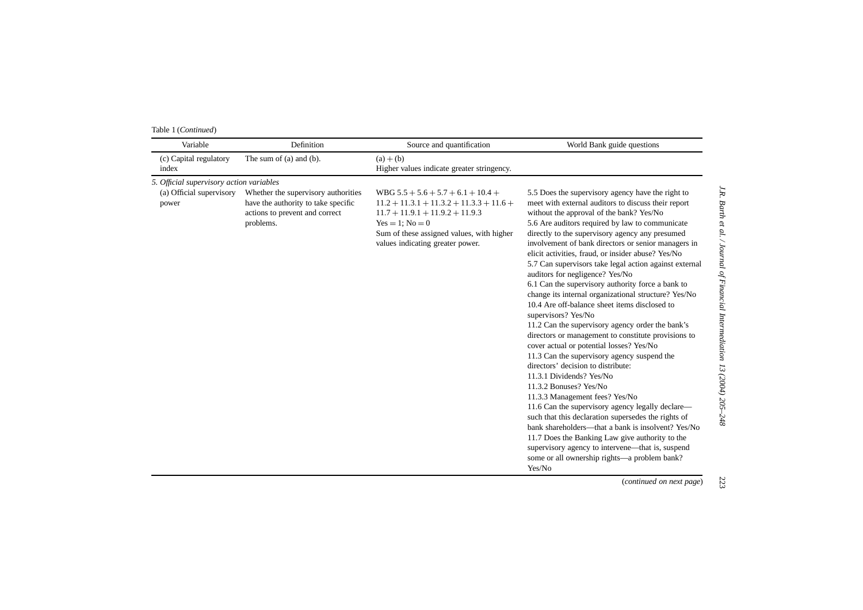Table 1 (*Continued*)

| Variable                                                                      | Definition                                                                                                                | Source and quantification                                                                                                                                                                                                        | World Bank guide questions                                                                                                                                                                                                                                                                                                                                                                                                                                                                                                                                                                                                                                                                                                                                                                                                                                                                                                                                                                                                                                                                                                                                                                                                                                                                                                      |
|-------------------------------------------------------------------------------|---------------------------------------------------------------------------------------------------------------------------|----------------------------------------------------------------------------------------------------------------------------------------------------------------------------------------------------------------------------------|---------------------------------------------------------------------------------------------------------------------------------------------------------------------------------------------------------------------------------------------------------------------------------------------------------------------------------------------------------------------------------------------------------------------------------------------------------------------------------------------------------------------------------------------------------------------------------------------------------------------------------------------------------------------------------------------------------------------------------------------------------------------------------------------------------------------------------------------------------------------------------------------------------------------------------------------------------------------------------------------------------------------------------------------------------------------------------------------------------------------------------------------------------------------------------------------------------------------------------------------------------------------------------------------------------------------------------|
| (c) Capital regulatory<br>index                                               | The sum of $(a)$ and $(b)$ .                                                                                              | $(a) + (b)$<br>Higher values indicate greater stringency.                                                                                                                                                                        |                                                                                                                                                                                                                                                                                                                                                                                                                                                                                                                                                                                                                                                                                                                                                                                                                                                                                                                                                                                                                                                                                                                                                                                                                                                                                                                                 |
| 5. Official supervisory action variables<br>(a) Official supervisory<br>power | Whether the supervisory authorities<br>have the authority to take specific<br>actions to prevent and correct<br>problems. | WBG $5.5 + 5.6 + 5.7 + 6.1 + 10.4 +$<br>$11.2 + 11.3.1 + 11.3.2 + 11.3.3 + 11.6 +$<br>$11.7 + 11.9.1 + 11.9.2 + 11.9.3$<br>$Yes = 1$ ; $No = 0$<br>Sum of these assigned values, with higher<br>values indicating greater power. | 5.5 Does the supervisory agency have the right to<br>meet with external auditors to discuss their report<br>without the approval of the bank? Yes/No<br>5.6 Are auditors required by law to communicate<br>directly to the supervisory agency any presumed<br>involvement of bank directors or senior managers in<br>elicit activities, fraud, or insider abuse? Yes/No<br>5.7 Can supervisors take legal action against external<br>auditors for negligence? Yes/No<br>6.1 Can the supervisory authority force a bank to<br>change its internal organizational structure? Yes/No<br>10.4 Are off-balance sheet items disclosed to<br>supervisors? Yes/No<br>11.2 Can the supervisory agency order the bank's<br>directors or management to constitute provisions to<br>cover actual or potential losses? Yes/No<br>11.3 Can the supervisory agency suspend the<br>directors' decision to distribute:<br>11.3.1 Dividends? Yes/No<br>11.3.2 Bonuses? Yes/No<br>11.3.3 Management fees? Yes/No<br>11.6 Can the supervisory agency legally declare—<br>such that this declaration supersedes the rights of<br>bank shareholders—that a bank is insolvent? Yes/No<br>11.7 Does the Banking Law give authority to the<br>supervisory agency to intervene—that is, suspend<br>some or all ownership rights—a problem bank?<br>Yes/No |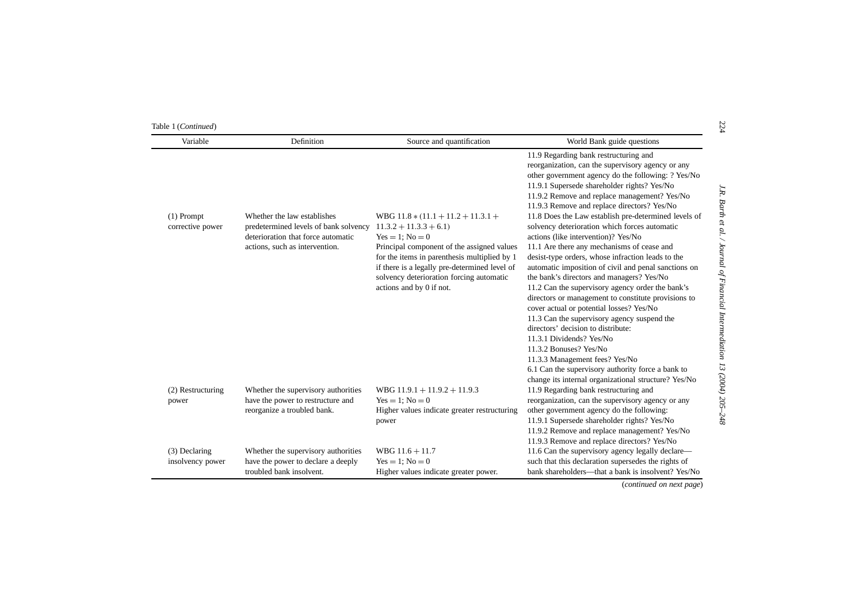| Variable                          | Definition                                                                                                                                   | Source and quantification                                                                                                                                                                                                                                                                                      | World Bank guide questions                                                                                                                                                                                                                                                                                                                                                                                                                                                                                                                                                                                                                                                                                                                                                                                                                                                                                                                                                                                                                                                                              |
|-----------------------------------|----------------------------------------------------------------------------------------------------------------------------------------------|----------------------------------------------------------------------------------------------------------------------------------------------------------------------------------------------------------------------------------------------------------------------------------------------------------------|---------------------------------------------------------------------------------------------------------------------------------------------------------------------------------------------------------------------------------------------------------------------------------------------------------------------------------------------------------------------------------------------------------------------------------------------------------------------------------------------------------------------------------------------------------------------------------------------------------------------------------------------------------------------------------------------------------------------------------------------------------------------------------------------------------------------------------------------------------------------------------------------------------------------------------------------------------------------------------------------------------------------------------------------------------------------------------------------------------|
| $(1)$ Prompt<br>corrective power  | Whether the law establishes<br>predetermined levels of bank solvency<br>deterioration that force automatic<br>actions, such as intervention. | WBG $11.8 * (11.1 + 11.2 + 11.3.1 +$<br>$11.3.2 + 11.3.3 + 6.1$<br>$Yes = 1$ ; $No = 0$<br>Principal component of the assigned values<br>for the items in parenthesis multiplied by 1<br>if there is a legally pre-determined level of<br>solvency deterioration forcing automatic<br>actions and by 0 if not. | 11.9 Regarding bank restructuring and<br>reorganization, can the supervisory agency or any<br>other government agency do the following: ? Yes/No<br>11.9.1 Supersede shareholder rights? Yes/No<br>11.9.2 Remove and replace management? Yes/No<br>11.9.3 Remove and replace directors? Yes/No<br>11.8 Does the Law establish pre-determined levels of<br>solvency deterioration which forces automatic<br>actions (like intervention)? Yes/No<br>11.1 Are there any mechanisms of cease and<br>desist-type orders, whose infraction leads to the<br>automatic imposition of civil and penal sanctions on<br>the bank's directors and managers? Yes/No<br>11.2 Can the supervisory agency order the bank's<br>directors or management to constitute provisions to<br>cover actual or potential losses? Yes/No<br>11.3 Can the supervisory agency suspend the<br>directors' decision to distribute:<br>11.3.1 Dividends? Yes/No<br>11.3.2 Bonuses? Yes/No<br>11.3.3 Management fees? Yes/No<br>6.1 Can the supervisory authority force a bank to<br>change its internal organizational structure? Yes/No |
| (2) Restructuring<br>power        | Whether the supervisory authorities<br>have the power to restructure and<br>reorganize a troubled bank.                                      | WBG $11.9.1 + 11.9.2 + 11.9.3$<br>$Yes = 1$ ; $No = 0$<br>Higher values indicate greater restructuring<br>power                                                                                                                                                                                                | 11.9 Regarding bank restructuring and<br>reorganization, can the supervisory agency or any<br>other government agency do the following:<br>11.9.1 Supersede shareholder rights? Yes/No<br>11.9.2 Remove and replace management? Yes/No                                                                                                                                                                                                                                                                                                                                                                                                                                                                                                                                                                                                                                                                                                                                                                                                                                                                  |
| (3) Declaring<br>insolvency power | Whether the supervisory authorities<br>have the power to declare a deeply<br>troubled bank insolvent.                                        | WBG $11.6 + 11.7$<br>$Yes = 1$ ; $No = 0$<br>Higher values indicate greater power.                                                                                                                                                                                                                             | 11.9.3 Remove and replace directors? Yes/No<br>11.6 Can the supervisory agency legally declare—<br>such that this declaration supersedes the rights of<br>bank shareholders—that a bank is insolvent? Yes/No                                                                                                                                                                                                                                                                                                                                                                                                                                                                                                                                                                                                                                                                                                                                                                                                                                                                                            |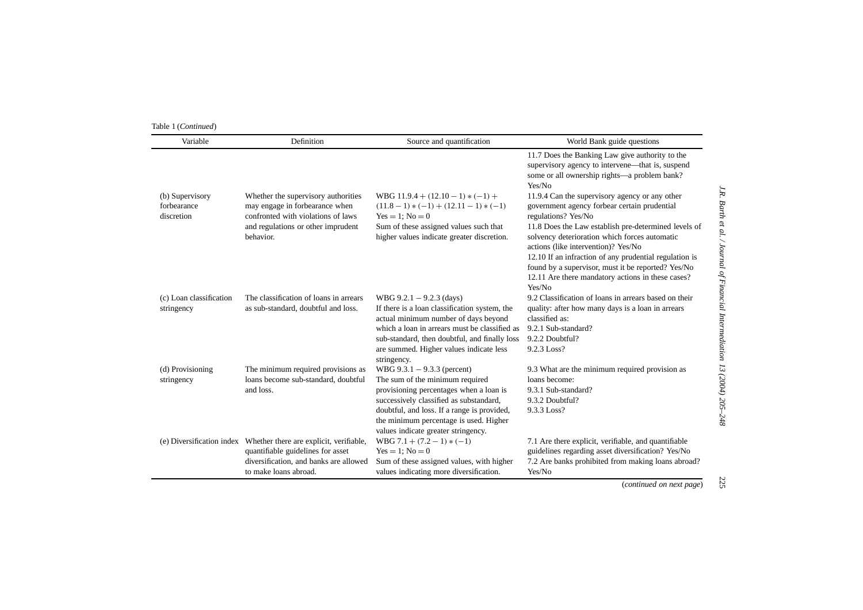Table 1 (*Continued*)

| Variable                                     | Definition                                                                                                  | Source and quantification                                                                    | World Bank guide questions                                                                                                                                                  |
|----------------------------------------------|-------------------------------------------------------------------------------------------------------------|----------------------------------------------------------------------------------------------|-----------------------------------------------------------------------------------------------------------------------------------------------------------------------------|
|                                              |                                                                                                             |                                                                                              | 11.7 Does the Banking Law give authority to the<br>supervisory agency to intervene-that is, suspend<br>some or all ownership rights—a problem bank?<br>Yes/No               |
| (b) Supervisory<br>forbearance<br>discretion | Whether the supervisory authorities<br>may engage in forbearance when<br>confronted with violations of laws | WBG $11.9.4 + (12.10 - 1) * (-1) +$<br>$(11.8-1)*(-1) + (12.11-1)*(-1)$<br>$Yes = 1; No = 0$ | 11.9.4 Can the supervisory agency or any other<br>government agency forbear certain prudential<br>regulations? Yes/No                                                       |
|                                              | and regulations or other imprudent<br>behavior.                                                             | Sum of these assigned values such that<br>higher values indicate greater discretion.         | 11.8 Does the Law establish pre-determined levels of<br>solvency deterioration which forces automatic<br>actions (like intervention)? Yes/No                                |
|                                              |                                                                                                             |                                                                                              | 12.10 If an infraction of any prudential regulation is<br>found by a supervisor, must it be reported? Yes/No<br>12.11 Are there mandatory actions in these cases?<br>Yes/No |
| (c) Loan classification                      | The classification of loans in arrears                                                                      | WBG $9.2.1 - 9.2.3$ (days)                                                                   | 9.2 Classification of loans in arrears based on their                                                                                                                       |
| stringency                                   | as sub-standard, doubtful and loss.                                                                         | If there is a loan classification system, the<br>actual minimum number of days beyond        | quality: after how many days is a loan in arrears<br>classified as:                                                                                                         |
|                                              |                                                                                                             | which a loan in arrears must be classified as                                                | 9.2.1 Sub-standard?                                                                                                                                                         |
|                                              |                                                                                                             | sub-standard, then doubtful, and finally loss                                                | 9.2.2 Doubtful?                                                                                                                                                             |
|                                              |                                                                                                             | are summed. Higher values indicate less<br>stringency.                                       | 9.2.3 Loss?                                                                                                                                                                 |
| (d) Provisioning                             | The minimum required provisions as                                                                          | WBG $9.3.1 - 9.3.3$ (percent)                                                                | 9.3 What are the minimum required provision as                                                                                                                              |
| stringency                                   | loans become sub-standard, doubtful                                                                         | The sum of the minimum required                                                              | loans become:                                                                                                                                                               |
|                                              | and loss.                                                                                                   | provisioning percentages when a loan is<br>successively classified as substandard,           | 9.3.1 Sub-standard?<br>9.3.2 Doubtful?                                                                                                                                      |
|                                              |                                                                                                             | doubtful, and loss. If a range is provided,                                                  | 9.3.3 Loss?                                                                                                                                                                 |
|                                              |                                                                                                             | the minimum percentage is used. Higher                                                       |                                                                                                                                                                             |
|                                              | (e) Diversification index Whether there are explicit, verifiable,                                           | values indicate greater stringency.<br>WBG 7.1 + $(7.2 - 1) * (-1)$                          | 7.1 Are there explicit, verifiable, and quantifiable                                                                                                                        |
|                                              | quantifiable guidelines for asset                                                                           | $Yes = 1$ ; $No = 0$                                                                         | guidelines regarding asset diversification? Yes/No                                                                                                                          |
|                                              | diversification, and banks are allowed<br>to make loans abroad.                                             | Sum of these assigned values, with higher<br>values indicating more diversification.         | 7.2 Are banks prohibited from making loans abroad?<br>Yes/No                                                                                                                |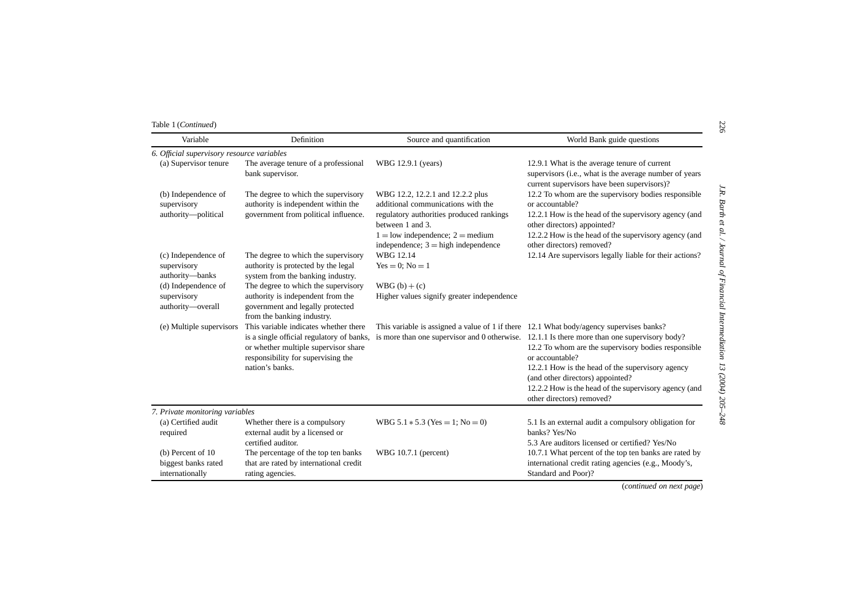| Table 1 (Continued)                                           |                                                                                                                 |                                                                                         |                                                                                                                                                       |
|---------------------------------------------------------------|-----------------------------------------------------------------------------------------------------------------|-----------------------------------------------------------------------------------------|-------------------------------------------------------------------------------------------------------------------------------------------------------|
| Variable                                                      | Definition                                                                                                      | Source and quantification                                                               | World Bank guide questions                                                                                                                            |
| 6. Official supervisory resource variables                    |                                                                                                                 |                                                                                         |                                                                                                                                                       |
| (a) Supervisor tenure                                         | The average tenure of a professional<br>bank supervisor.                                                        | WBG 12.9.1 (years)                                                                      | 12.9.1 What is the average tenure of current<br>supervisors (i.e., what is the average number of years<br>current supervisors have been supervisors)? |
| (b) Independence of<br>supervisory                            | The degree to which the supervisory<br>authority is independent within the                                      | WBG 12.2, 12.2.1 and 12.2.2 plus<br>additional communications with the                  | 12.2 To whom are the supervisory bodies responsible<br>or accountable?                                                                                |
| authority-political                                           | government from political influence.                                                                            | regulatory authorities produced rankings<br>between 1 and 3.                            | 12.2.1 How is the head of the supervisory agency (and<br>other directors) appointed?                                                                  |
|                                                               |                                                                                                                 | $1 =$ low independence; $2 =$ medium<br>independence; $3 =$ high independence           | 12.2.2 How is the head of the supervisory agency (and<br>other directors) removed?                                                                    |
| (c) Independence of<br>supervisory<br>authority-banks         | The degree to which the supervisory<br>authority is protected by the legal<br>system from the banking industry. | WBG 12.14<br>$Yes = 0; No = 1$                                                          | 12.14 Are supervisors legally liable for their actions?                                                                                               |
| (d) Independence of                                           | The degree to which the supervisory                                                                             | $WBG(b) + (c)$                                                                          |                                                                                                                                                       |
| supervisory<br>authority-overall                              | authority is independent from the<br>government and legally protected<br>from the banking industry.             | Higher values signify greater independence                                              |                                                                                                                                                       |
| (e) Multiple supervisors                                      | This variable indicates whether there                                                                           | This variable is assigned a value of 1 if there 12.1 What body/agency supervises banks? |                                                                                                                                                       |
|                                                               | is a single official regulatory of banks,                                                                       | is more than one supervisor and 0 otherwise.                                            | 12.1.1 Is there more than one supervisory body?                                                                                                       |
|                                                               | or whether multiple supervisor share<br>responsibility for supervising the                                      |                                                                                         | 12.2 To whom are the supervisory bodies responsible<br>or accountable?                                                                                |
|                                                               | nation's banks.                                                                                                 |                                                                                         | 12.2.1 How is the head of the supervisory agency                                                                                                      |
|                                                               |                                                                                                                 |                                                                                         | (and other directors) appointed?                                                                                                                      |
|                                                               |                                                                                                                 |                                                                                         | 12.2.2 How is the head of the supervisory agency (and<br>other directors) removed?                                                                    |
| 7. Private monitoring variables                               |                                                                                                                 |                                                                                         |                                                                                                                                                       |
| (a) Certified audit<br>required                               | Whether there is a compulsory<br>external audit by a licensed or                                                | WBG $5.1 * 5.3$ (Yes = 1; No = 0)                                                       | 5.1 Is an external audit a compulsory obligation for<br>banks? Yes/No                                                                                 |
|                                                               | certified auditor.                                                                                              |                                                                                         | 5.3 Are auditors licensed or certified? Yes/No                                                                                                        |
| $(b)$ Percent of 10<br>biggest banks rated<br>internationally | The percentage of the top ten banks<br>that are rated by international credit<br>rating agencies.               | WBG 10.7.1 (percent)                                                                    | 10.7.1 What percent of the top ten banks are rated by<br>international credit rating agencies (e.g., Moody's,<br>Standard and Poor)?                  |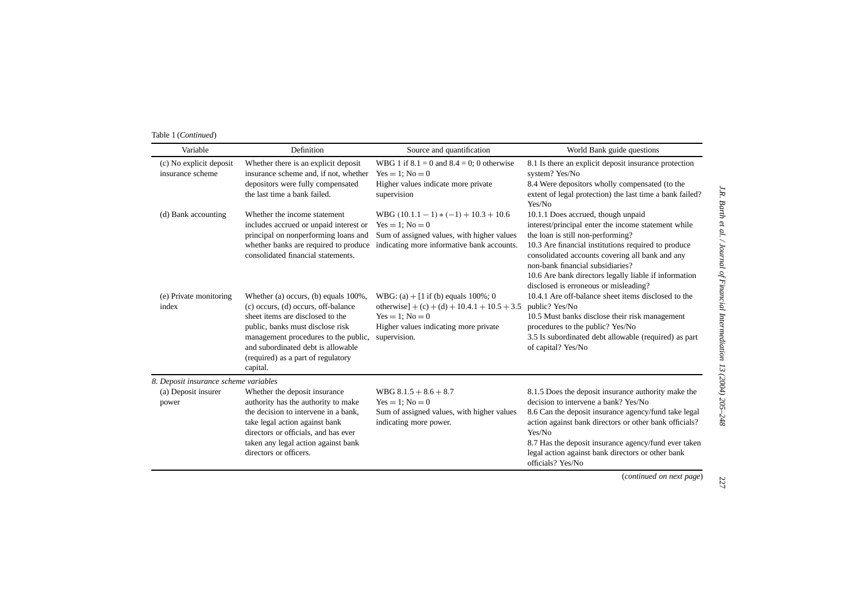Table 1 (*Continued*)

| Variable                                    | Definition                                                                                                                                                                                                                                                                          | Source and quantification                                                                                                                                           | World Bank guide questions                                                                                                                                                                                                                                                                                                                                                     |
|---------------------------------------------|-------------------------------------------------------------------------------------------------------------------------------------------------------------------------------------------------------------------------------------------------------------------------------------|---------------------------------------------------------------------------------------------------------------------------------------------------------------------|--------------------------------------------------------------------------------------------------------------------------------------------------------------------------------------------------------------------------------------------------------------------------------------------------------------------------------------------------------------------------------|
| (c) No explicit deposit<br>insurance scheme | Whether there is an explicit deposit<br>insurance scheme and, if not, whether                                                                                                                                                                                                       | WBG 1 if $8.1 = 0$ and $8.4 = 0$ ; 0 otherwise<br>$Yes = 1: No = 0$                                                                                                 | 8.1 Is there an explicit deposit insurance protection<br>system? Yes/No                                                                                                                                                                                                                                                                                                        |
|                                             | depositors were fully compensated<br>the last time a bank failed.                                                                                                                                                                                                                   | Higher values indicate more private<br>supervision                                                                                                                  | 8.4 Were depositors wholly compensated (to the<br>extent of legal protection) the last time a bank failed?<br>Yes/No                                                                                                                                                                                                                                                           |
| (d) Bank accounting                         | Whether the income statement<br>includes accrued or unpaid interest or<br>principal on nonperforming loans and<br>whether banks are required to produce<br>consolidated financial statements.                                                                                       | WBG $(10.1.1 - 1) * (-1) + 10.3 + 10.6$<br>$Yes = 1$ ; $No = 0$<br>Sum of assigned values, with higher values<br>indicating more informative bank accounts.         | 10.1.1 Does accrued, though unpaid<br>interest/principal enter the income statement while<br>the loan is still non-performing?<br>10.3 Are financial institutions required to produce<br>consolidated accounts covering all bank and any<br>non-bank financial subsidiaries?<br>10.6 Are bank directors legally liable if information<br>disclosed is erroneous or misleading? |
| (e) Private monitoring<br>index             | Whether (a) occurs, (b) equals 100%,<br>(c) occurs, (d) occurs, off-balance<br>sheet items are disclosed to the<br>public, banks must disclose risk<br>management procedures to the public,<br>and subordinated debt is allowable<br>(required) as a part of regulatory<br>capital. | WBG: (a) $+$ [1 if (b) equals 100%; 0<br>otherwise] + (c) + (d) + 10.4.1 + 10.5 + 3.5<br>$Yes = 1: No = 0$<br>Higher values indicating more private<br>supervision. | 10.4.1 Are off-balance sheet items disclosed to the<br>public? Yes/No<br>10.5 Must banks disclose their risk management<br>procedures to the public? Yes/No<br>3.5 Is subordinated debt allowable (required) as part<br>of capital? Yes/No                                                                                                                                     |
| 8. Deposit insurance scheme variables       |                                                                                                                                                                                                                                                                                     |                                                                                                                                                                     |                                                                                                                                                                                                                                                                                                                                                                                |
| (a) Deposit insurer<br>power                | Whether the deposit insurance<br>authority has the authority to make<br>the decision to intervene in a bank,<br>take legal action against bank<br>directors or officials, and has ever<br>taken any legal action against bank<br>directors or officers.                             | WBG $8.1.5 + 8.6 + 8.7$<br>$Yes = 1$ ; $No = 0$<br>Sum of assigned values, with higher values<br>indicating more power.                                             | 8.1.5 Does the deposit insurance authority make the<br>decision to intervene a bank? Yes/No<br>8.6 Can the deposit insurance agency/fund take legal<br>action against bank directors or other bank officials?<br>Yes/No<br>8.7 Has the deposit insurance agency/fund ever taken<br>legal action against bank directors or other bank<br>officials? Yes/No<br>$\sim$            |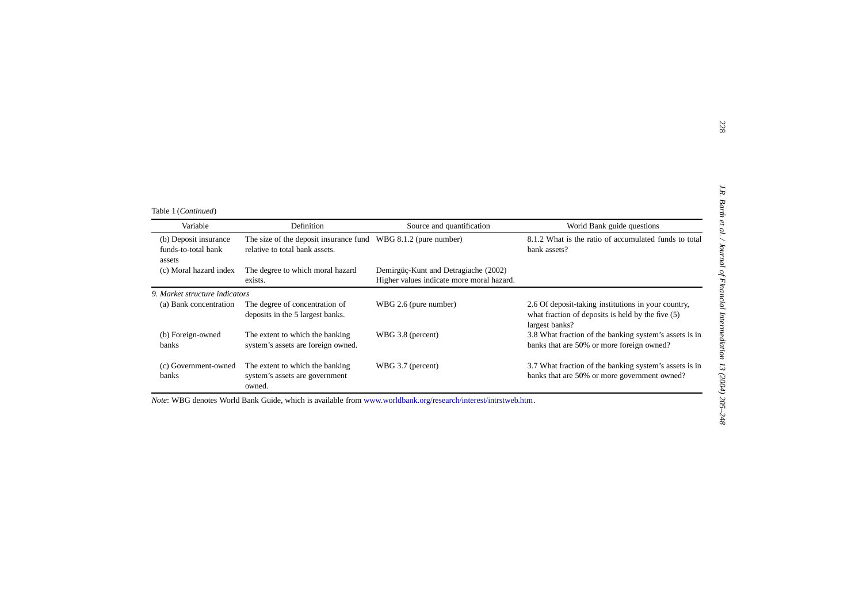| Table 1 ( <i>Continued</i> ) |  |
|------------------------------|--|
|                              |  |

| Variable                                               | Definition                                                                                       | Source and quantification                                                         | World Bank guide questions                                                                                                   |
|--------------------------------------------------------|--------------------------------------------------------------------------------------------------|-----------------------------------------------------------------------------------|------------------------------------------------------------------------------------------------------------------------------|
| (b) Deposit insurance<br>funds-to-total bank<br>assets | The size of the deposit insurance fund WBG 8.1.2 (pure number)<br>relative to total bank assets. |                                                                                   | 8.1.2 What is the ratio of accumulated funds to total<br>bank assets?                                                        |
| (c) Moral hazard index                                 | The degree to which moral hazard<br>exists.                                                      | Demirgüç-Kunt and Detragiache (2002)<br>Higher values indicate more moral hazard. |                                                                                                                              |
| 9. Market structure indicators                         |                                                                                                  |                                                                                   |                                                                                                                              |
| (a) Bank concentration                                 | The degree of concentration of<br>deposits in the 5 largest banks.                               | WBG 2.6 (pure number)                                                             | 2.6 Of deposit-taking institutions in your country,<br>what fraction of deposits is held by the five $(5)$<br>largest banks? |
| (b) Foreign-owned<br>banks                             | The extent to which the banking<br>system's assets are foreign owned.                            | WBG 3.8 (percent)                                                                 | 3.8 What fraction of the banking system's assets is in<br>banks that are 50% or more foreign owned?                          |
| (c) Government-owned<br>banks                          | The extent to which the banking<br>system's assets are government<br>owned.                      | WBG 3.7 (percent)                                                                 | 3.7 What fraction of the banking system's assets is in<br>banks that are 50% or more government owned?                       |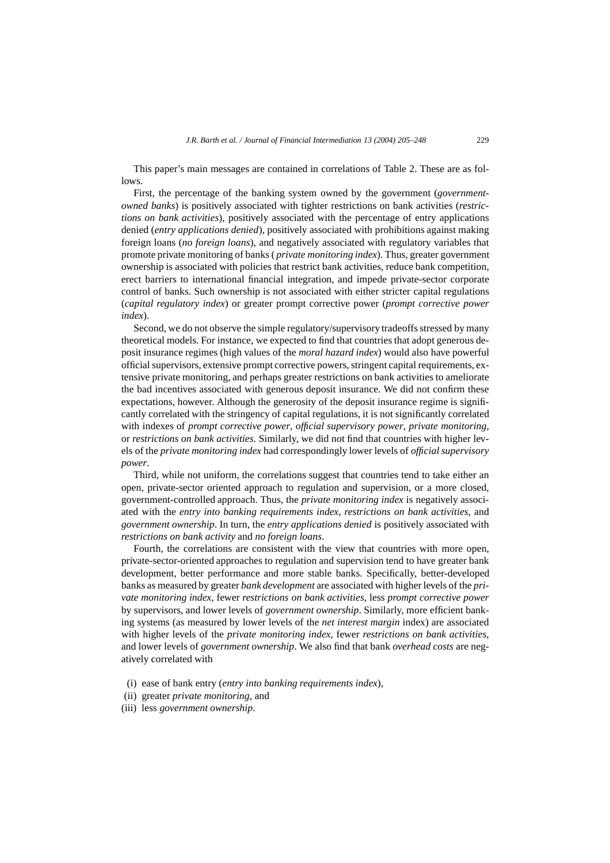This paper's main messages are contained in correlations of Table 2. These are as follows.

First, the percentage of the banking system owned by the government (*governmentowned banks*) is positively associated with tighter restrictions on bank activities (*restrictions on bank activities*), positively associated with the percentage of entry applications denied (*entry applications denied*), positively associated with prohibitions against making foreign loans (*no foreign loans*), and negatively associated with regulatory variables that promote private monitoring of banks ( *private monitoring index*). Thus, greater government ownership is associated with policies that restrict bank activities, reduce bank competition, erect barriers to international financial integration, and impede private-sector corporate control of banks. Such ownership is not associated with either stricter capital regulations (*capital regulatory index*) or greater prompt corrective power (*prompt corrective power index*).

Second, we do not observe the simple regulatory/supervisory tradeoffs stressed by many theoretical models. For instance, we expected to find that countries that adopt generous deposit insurance regimes (high values of the *moral hazard index*) would also have powerful official supervisors, extensive prompt corrective powers, stringent capital requirements, extensive private monitoring, and perhaps greater restrictions on bank activities to ameliorate the bad incentives associated with generous deposit insurance. We did not confirm these expectations, however. Although the generosity of the deposit insurance regime is significantly correlated with the stringency of capital regulations, it is not significantly correlated with indexes of *prompt corrective power*, *official supervisory power*, *private monitoring*, or *restrictions on bank activities*. Similarly, we did not find that countries with higher levels of the *private monitoring index* had correspondingly lower levels of *official supervisory power*.

Third, while not uniform, the correlations suggest that countries tend to take either an open, private-sector oriented approach to regulation and supervision, or a more closed, government-controlled approach. Thus, the *private monitoring index* is negatively associated with the *entry into banking requirements index*, *restrictions on bank activities*, and *government ownership*. In turn, the *entry applications denied* is positively associated with *restrictions on bank activity* and *no foreign loans*.

Fourth, the correlations are consistent with the view that countries with more open, private-sector-oriented approaches to regulation and supervision tend to have greater bank development, better performance and more stable banks. Specifically, better-developed banks as measured by greater *bank development* are associated with higher levels of the *private monitoring index*, fewer *restrictions on bank activities*, less *prompt corrective power* by supervisors, and lower levels of *government ownership*. Similarly, more efficient banking systems (as measured by lower levels of the *net interest margin* index) are associated with higher levels of the *private monitoring index*, fewer *restrictions on bank activities*, and lower levels of *government ownership*. We also find that bank *overhead costs* are negatively correlated with

- (i) ease of bank entry (*entry into banking requirements index*),
- (ii) greater *private monitoring*, and
- (iii) less *government ownership*.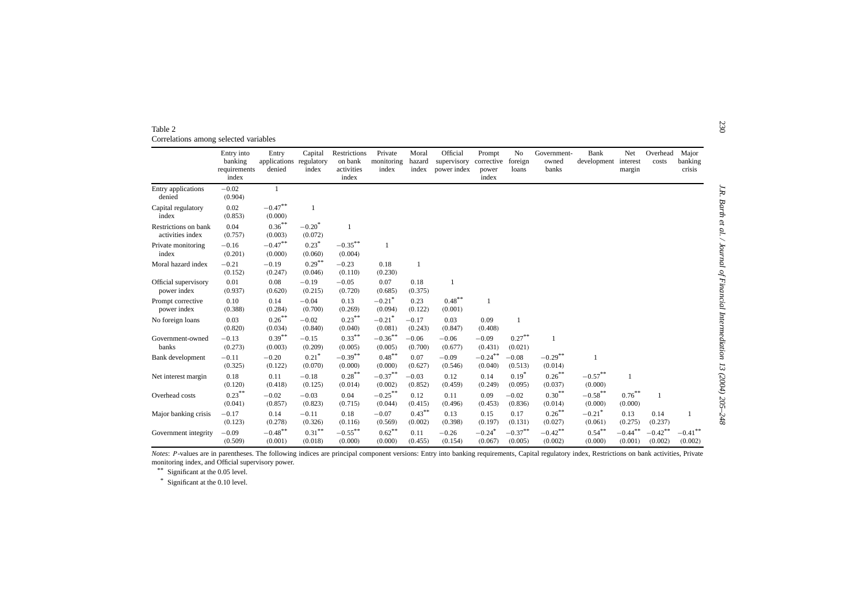|                                          | Entry into<br>banking<br>requirements<br>index | Entry<br>applications regulatory<br>denied | Capital<br>index               | Restrictions<br>on bank<br>activities<br>index | Private<br>monitoring<br>index  | Moral<br>hazard<br>index | Official<br>supervisory<br>power index | Prompt<br>corrective<br>power<br>index | No<br>foreign<br>loans | Government-<br>owned<br>banks    | Bank<br>development interest    | Net<br>margin                    | Overhead<br>costs     | Major<br>banking<br>crisis |
|------------------------------------------|------------------------------------------------|--------------------------------------------|--------------------------------|------------------------------------------------|---------------------------------|--------------------------|----------------------------------------|----------------------------------------|------------------------|----------------------------------|---------------------------------|----------------------------------|-----------------------|----------------------------|
| Entry applications<br>denied             | $-0.02$<br>(0.904)                             | $\overline{1}$                             |                                |                                                |                                 |                          |                                        |                                        |                        |                                  |                                 |                                  |                       |                            |
| Capital regulatory<br>index              | 0.02<br>(0.853)                                | $-0.47***$<br>(0.000)                      |                                |                                                |                                 |                          |                                        |                                        |                        |                                  |                                 |                                  |                       |                            |
| Restrictions on bank<br>activities index | 0.04<br>(0.757)                                | $0.36***$<br>(0.003)                       | $-0.20^*$<br>(0.072)           |                                                |                                 |                          |                                        |                                        |                        |                                  |                                 |                                  |                       |                            |
| Private monitoring<br>index              | $-0.16$<br>(0.201)                             | $-0.47***$<br>(0.000)                      | $0.23*$<br>(0.060)             | $-0.35***$<br>(0.004)                          | 1                               |                          |                                        |                                        |                        |                                  |                                 |                                  |                       |                            |
| Moral hazard index                       | $-0.21$<br>(0.152)                             | $-0.19$<br>(0.247)                         | $0.29***$<br>(0.046)           | $-0.23$<br>(0.110)                             | 0.18<br>(0.230)                 | $\mathbf{1}$             |                                        |                                        |                        |                                  |                                 |                                  |                       |                            |
| Official supervisory<br>power index      | 0.01<br>(0.937)                                | 0.08<br>(0.620)                            | $-0.19$<br>(0.215)             | $-0.05$<br>(0.720)                             | 0.07<br>(0.685)                 | 0.18<br>(0.375)          |                                        |                                        |                        |                                  |                                 |                                  |                       |                            |
| Prompt corrective<br>power index         | 0.10<br>(0.388)                                | 0.14<br>(0.284)                            | $-0.04$<br>(0.700)             | 0.13<br>(0.269)                                | $-0.21$ <sup>*</sup><br>(0.094) | 0.23<br>(0.122)          | $0.48***$<br>(0.001)                   |                                        |                        |                                  |                                 |                                  |                       |                            |
| No foreign loans                         | 0.03<br>(0.820)                                | $0.26***$<br>(0.034)                       | $-0.02$<br>(0.840)             | $0.23***$<br>(0.040)                           | $-0.21$ <sup>*</sup><br>(0.081) | $-0.17$<br>(0.243)       | 0.03<br>(0.847)                        | 0.09<br>(0.408)                        |                        |                                  |                                 |                                  |                       |                            |
| Government-owned<br>banks                | $-0.13$<br>(0.273)                             | $0.39***$<br>(0.003)                       | $-0.15$<br>(0.209)             | $0.33***$<br>(0.005)                           | $-0.36***$<br>(0.005)           | $-0.06$<br>(0.700)       | $-0.06$<br>(0.677)                     | $-0.09$<br>(0.431)                     | $0.27***$<br>(0.021)   |                                  |                                 |                                  |                       |                            |
| Bank development                         | $-0.11$<br>(0.325)                             | $-0.20$<br>(0.122)                         | $0.21$ <sup>*</sup><br>(0.070) | $-0.39$ **<br>(0.000)                          | $0.48***$<br>(0.000)            | 0.07<br>(0.627)          | $-0.09$<br>(0.546)                     | $-0.24$ **<br>(0.040)                  | $-0.08$<br>(0.513)     | $-0.29$ <sup>**</sup><br>(0.014) |                                 |                                  |                       |                            |
| Net interest margin                      | 0.18<br>(0.120)                                | 0.11<br>(0.418)                            | $-0.18$<br>(0.125)             | $0.28***$<br>(0.014)                           | $-0.37***$<br>(0.002)           | $-0.03$<br>(0.852)       | 0.12<br>(0.459)                        | 0.14<br>(0.249)                        | $0.19*$<br>(0.095)     | $0.26***$<br>(0.037)             | $-0.57***$<br>(0.000)           | 1                                |                       |                            |
| Overhead costs                           | $0.23***$<br>(0.041)                           | $-0.02$<br>(0.857)                         | $-0.03$<br>(0.823)             | 0.04<br>(0.715)                                | $-0.25***$<br>(0.044)           | 0.12<br>(0.415)          | 0.11<br>(0.496)                        | 0.09<br>(0.453)                        | $-0.02$<br>(0.836)     | $0.30***$<br>(0.014)             | $-0.58***$<br>(0.000)           | $0.76***$<br>(0.000)             | -1                    |                            |
| Major banking crisis                     | $-0.17$<br>(0.123)                             | 0.14<br>(0.278)                            | $-0.11$<br>(0.326)             | 0.18<br>(0.116)                                | $-0.07$<br>(0.569)              | $0.43***$<br>(0.002)     | 0.13<br>(0.398)                        | 0.15<br>(0.197)                        | 0.17<br>(0.131)        | $0.26***$<br>(0.027)             | $-0.21$ <sup>*</sup><br>(0.061) | 0.13<br>(0.275)                  | 0.14<br>(0.237)       |                            |
| Government integrity                     | $-0.09$<br>(0.509)                             | $-0.48$ **<br>(0.001)                      | $0.31***$<br>(0.018)           | $-0.55***$<br>(0.000)                          | $0.62$ **<br>(0.000)            | 0.11<br>(0.455)          | $-0.26$<br>(0.154)                     | $-0.24$ <sup>*</sup><br>(0.067)        | $-0.37***$<br>(0.005)  | $-0.42$ **<br>(0.002)            | $0.54***$<br>(0.000)            | $-0.44$ <sup>**</sup><br>(0.001) | $-0.42$ **<br>(0.002) | $-0.41$ **<br>(0.002)      |

Notes: P-values are in parentheses. The following indices are principal component versions: Entry into banking requirements, Capital regulatory index, Restrictions on bank activities, Private monitoring index, and Official supervisory power. \*\* Significant at the 0.05 level.

\* Significant at the 0.10 level.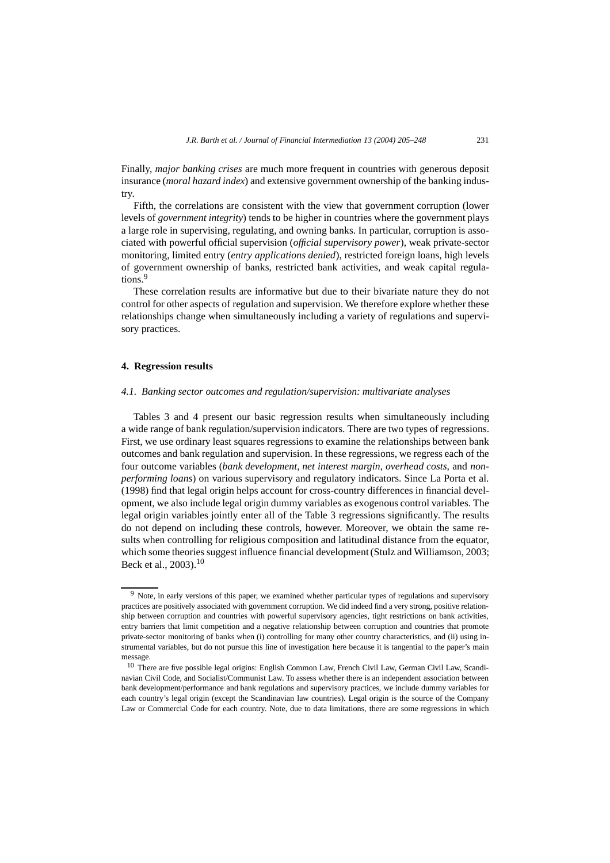Finally, *major banking crises* are much more frequent in countries with generous deposit insurance (*moral hazard index*) and extensive government ownership of the banking industry.

Fifth, the correlations are consistent with the view that government corruption (lower levels of *government integrity*) tends to be higher in countries where the government plays a large role in supervising, regulating, and owning banks. In particular, corruption is associated with powerful official supervision (*official supervisory power*), weak private-sector monitoring, limited entry (*entry applications denied*), restricted foreign loans, high levels of government ownership of banks, restricted bank activities, and weak capital regulations.<sup>9</sup>

These correlation results are informative but due to their bivariate nature they do not control for other aspects of regulation and supervision. We therefore explore whether these relationships change when simultaneously including a variety of regulations and supervisory practices.

## **4. Regression results**

## *4.1. Banking sector outcomes and regulation/supervision: multivariate analyses*

Tables 3 and 4 present our basic regression results when simultaneously including a wide range of bank regulation/supervision indicators. There are two types of regressions. First, we use ordinary least squares regressions to examine the relationships between bank outcomes and bank regulation and supervision. In these regressions, we regress each of the four outcome variables (*bank development*, *net interest margin*, *overhead costs*, and *nonperforming loans*) on various supervisory and regulatory indicators. Since La Porta et al. (1998) find that legal origin helps account for cross-country differences in financial development, we also include legal origin dummy variables as exogenous control variables. The legal origin variables jointly enter all of the Table 3 regressions significantly. The results do not depend on including these controls, however. Moreover, we obtain the same results when controlling for religious composition and latitudinal distance from the equator, which some theories suggest influence financial development (Stulz and Williamson, 2003; Beck et al., 2003).<sup>10</sup>

<sup>9</sup> Note, in early versions of this paper, we examined whether particular types of regulations and supervisory practices are positively associated with government corruption. We did indeed find a very strong, positive relationship between corruption and countries with powerful supervisory agencies, tight restrictions on bank activities, entry barriers that limit competition and a negative relationship between corruption and countries that promote private-sector monitoring of banks when (i) controlling for many other country characteristics, and (ii) using instrumental variables, but do not pursue this line of investigation here because it is tangential to the paper's main message.

<sup>&</sup>lt;sup>10</sup> There are five possible legal origins: English Common Law, French Civil Law, German Civil Law, Scandinavian Civil Code, and Socialist/Communist Law. To assess whether there is an independent association between bank development/performance and bank regulations and supervisory practices, we include dummy variables for each country's legal origin (except the Scandinavian law countries). Legal origin is the source of the Company Law or Commercial Code for each country. Note, due to data limitations, there are some regressions in which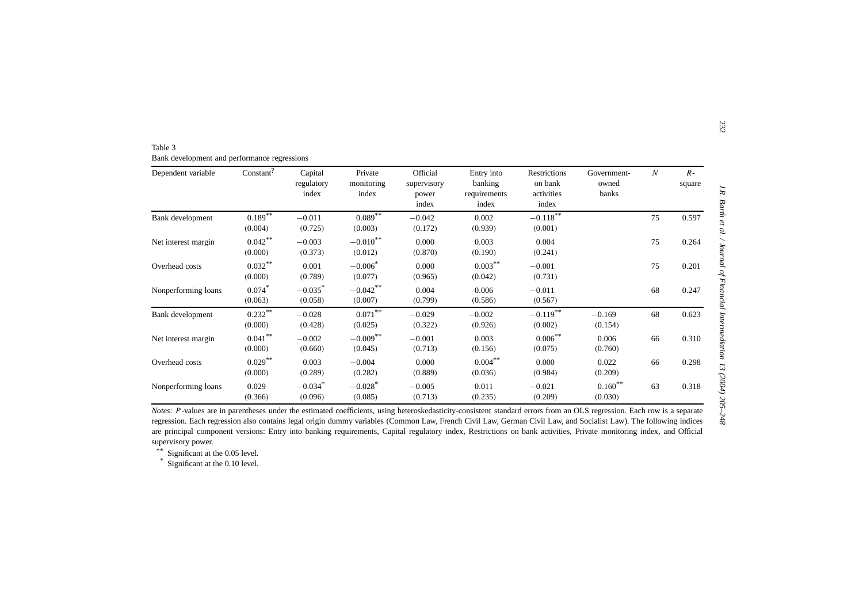| Table 3 |                                              |
|---------|----------------------------------------------|
|         | Bank development and performance regressions |

| Constant?<br>Dependent variable<br>Private<br>Capital<br>regulatory<br>monitoring<br>index<br>index |                       | Official<br>supervisory<br>power<br>index | Entry into<br>banking<br>requirements<br>index | Restrictions<br>on bank<br>activities<br>index | Government-<br>owned<br>banks | $\boldsymbol{N}$       | $R -$<br>square       |    |       |
|-----------------------------------------------------------------------------------------------------|-----------------------|-------------------------------------------|------------------------------------------------|------------------------------------------------|-------------------------------|------------------------|-----------------------|----|-------|
| Bank development                                                                                    | $0.189***$<br>(0.004) | $-0.011$<br>(0.725)                       | $0.089***$<br>(0.003)                          | $-0.042$<br>(0.172)                            | 0.002<br>(0.939)              | $-0.118***$<br>(0.001) |                       | 75 | 0.597 |
| Net interest margin                                                                                 | $0.042**$<br>(0.000)  | $-0.003$<br>(0.373)                       | $-0.010$ **<br>(0.012)                         | 0.000<br>(0.870)                               | 0.003<br>(0.190)              | 0.004<br>(0.241)       |                       | 75 | 0.264 |
| Overhead costs                                                                                      | $0.032***$<br>(0.000) | 0.001<br>(0.789)                          | $-0.006*$<br>(0.077)                           | 0.000<br>(0.965)                               | $0.003***$<br>(0.042)         | $-0.001$<br>(0.731)    |                       | 75 | 0.201 |
| Nonperforming loans                                                                                 | $0.074*$<br>(0.063)   | $-0.035$ *<br>(0.058)                     | $-0.042$ **<br>(0.007)                         | 0.004<br>(0.799)                               | 0.006<br>(0.586)              | $-0.011$<br>(0.567)    |                       | 68 | 0.247 |
| Bank development                                                                                    | $0.232***$<br>(0.000) | $-0.028$<br>(0.428)                       | $0.071***$<br>(0.025)                          | $-0.029$<br>(0.322)                            | $-0.002$<br>(0.926)           | $-0.119***$<br>(0.002) | $-0.169$<br>(0.154)   | 68 | 0.623 |
| Net interest margin                                                                                 | $0.041**$<br>(0.000)  | $-0.002$<br>(0.660)                       | $-0.009***$<br>(0.045)                         | $-0.001$<br>(0.713)                            | 0.003<br>(0.156)              | $0.006***$<br>(0.075)  | 0.006<br>(0.760)      | 66 | 0.310 |
| Overhead costs                                                                                      | $0.029***$<br>(0.000) | 0.003<br>(0.289)                          | $-0.004$<br>(0.282)                            | 0.000<br>(0.889)                               | $0.004***$<br>(0.036)         | 0.000<br>(0.984)       | 0.022<br>(0.209)      | 66 | 0.298 |
| Nonperforming loans                                                                                 | 0.029<br>(0.366)      | $-0.034$ *<br>(0.096)                     | $-0.028$ <sup>*</sup><br>(0.085)               | $-0.005$<br>(0.713)                            | 0.011<br>(0.235)              | $-0.021$<br>(0.209)    | $0.160***$<br>(0.030) | 63 | 0.318 |

are principal componen<sup>t</sup> versions: Entry into banking requirements, Capital regulatory index, Restrictions on bank activities, Private monitoring index, and Official supervisory power.

\*\* Significant at the 0.05 level.

\* Significant at the 0.10 level.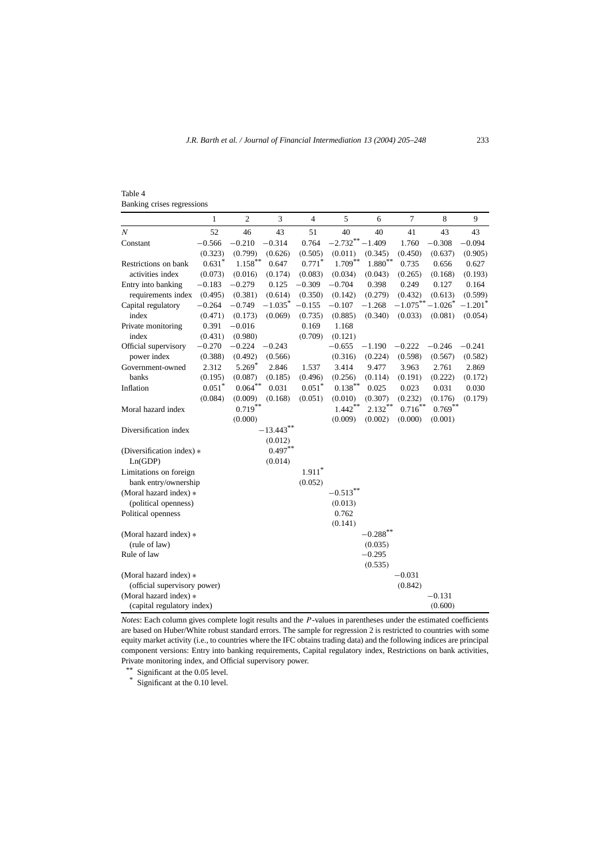| Table 4 |                            |
|---------|----------------------------|
|         | Banking crises regressions |

|                              | $\mathbf{1}$ | $\overline{c}$ | 3           | $\overline{4}$ | 5           | 6                      | $\overline{7}$ | 8                  | 9         |
|------------------------------|--------------|----------------|-------------|----------------|-------------|------------------------|----------------|--------------------|-----------|
| $\boldsymbol{N}$             | 52           | 46             | 43          | 51             | 40          | 40                     | 41             | 43                 | 43        |
| Constant                     | $-0.566$     | $-0.210$       | $-0.314$    | 0.764          | $-2.732***$ | $-1.409$               | 1.760          | $-0.308$           | $-0.094$  |
|                              | (0.323)      | (0.799)        | (0.626)     | (0.505)        | (0.011)     | (0.345)                | (0.450)        | (0.637)            | (0.905)   |
| Restrictions on bank         | $0.631*$     | $1.158***$     | 0.647       | $0.771*$       | $1.709***$  | $1.880**$              | 0.735          | 0.656              | 0.627     |
| activities index             | (0.073)      | (0.016)        | (0.174)     | (0.083)        | (0.034)     | (0.043)                | (0.265)        | (0.168)            | (0.193)   |
| Entry into banking           | $-0.183$     | $-0.279$       | 0.125       | $-0.309$       | $-0.704$    | 0.398                  | 0.249          | 0.127              | 0.164     |
| requirements index           | (0.495)      | (0.381)        | (0.614)     | (0.350)        | (0.142)     | (0.279)                | (0.432)        | (0.613)            | (0.599)   |
| Capital regulatory           | $-0.264$     | $-0.749$       | $-1.035^*$  | $-0.155$       | $-0.107$    | $-1.268$               |                | $-1.075***-1.026*$ | $-1.201*$ |
| index                        | (0.471)      | (0.173)        | (0.069)     | (0.735)        | (0.885)     | (0.340)                | (0.033)        | (0.081)            | (0.054)   |
| Private monitoring           | 0.391        | $-0.016$       |             | 0.169          | 1.168       |                        |                |                    |           |
| index                        | (0.431)      | (0.980)        |             | (0.709)        | (0.121)     |                        |                |                    |           |
| Official supervisory         | $-0.270$     | $-0.224$       | $-0.243$    |                | $-0.655$    | $-1.190$               | $-0.222$       | $-0.246$           | $-0.241$  |
| power index                  | (0.388)      | (0.492)        | (0.566)     |                | (0.316)     | (0.224)                | (0.598)        | (0.567)            | (0.582)   |
| Government-owned             | 2.312        | 5.269*         | 2.846       | 1.537          | 3.414       | 9.477                  | 3.963          | 2.761              | 2.869     |
| banks                        | (0.195)      | (0.087)        | (0.185)     | (0.496)        | (0.256)     | (0.114)                | (0.191)        | (0.222)            | (0.172)   |
| Inflation                    | $0.051$ *    | $0.064***$     | 0.031       | $0.051*$       | $0.138***$  | 0.025                  | 0.023          | 0.031              | 0.030     |
|                              | (0.084)      | (0.009)        | (0.168)     | (0.051)        | (0.010)     | (0.307)                | (0.232)        | (0.176)            | (0.179)   |
| Moral hazard index           |              | $0.719***$     |             |                | $1.442***$  | $2.132***$             | $0.716***$     | $0.769***$         |           |
|                              |              | (0.000)        |             |                | (0.009)     | (0.002)                | (0.000)        | (0.001)            |           |
| Diversification index        |              |                | $-13.443**$ |                |             |                        |                |                    |           |
|                              |              |                | (0.012)     |                |             |                        |                |                    |           |
| (Diversification index) *    |              |                | $0.497***$  |                |             |                        |                |                    |           |
| Ln(GDP)                      |              |                | (0.014)     |                |             |                        |                |                    |           |
| Limitations on foreign       |              |                |             | $1.911*$       |             |                        |                |                    |           |
| bank entry/ownership         |              |                |             | (0.052)        |             |                        |                |                    |           |
| (Moral hazard index) *       |              |                |             |                | $-0.513**$  |                        |                |                    |           |
| (political openness)         |              |                |             |                | (0.013)     |                        |                |                    |           |
| Political openness           |              |                |             |                | 0.762       |                        |                |                    |           |
|                              |              |                |             |                | (0.141)     |                        |                |                    |           |
| (Moral hazard index) *       |              |                |             |                |             | $-0.288$ <sup>**</sup> |                |                    |           |
| (rule of law)                |              |                |             |                |             | (0.035)                |                |                    |           |
| Rule of law                  |              |                |             |                |             | $-0.295$               |                |                    |           |
|                              |              |                |             |                |             | (0.535)                |                |                    |           |
| (Moral hazard index) *       |              |                |             |                |             |                        | $-0.031$       |                    |           |
| (official supervisory power) |              |                |             |                |             |                        | (0.842)        |                    |           |
| (Moral hazard index) *       |              |                |             |                |             |                        |                | $-0.131$           |           |
| (capital regulatory index)   |              |                |             |                |             |                        |                | (0.600)            |           |

*Notes*: Each column gives complete logit results and the *P* -values in parentheses under the estimated coefficients are based on Huber/White robust standard errors. The sample for regression 2 is restricted to countries with some equity market activity (i.e., to countries where the IFC obtains trading data) and the following indices are principal component versions: Entry into banking requirements, Capital regulatory index, Restrictions on bank activities, Private monitoring index, and Official supervisory power.

\*\* Significant at the 0.05 level.

\* Significant at the 0.10 level.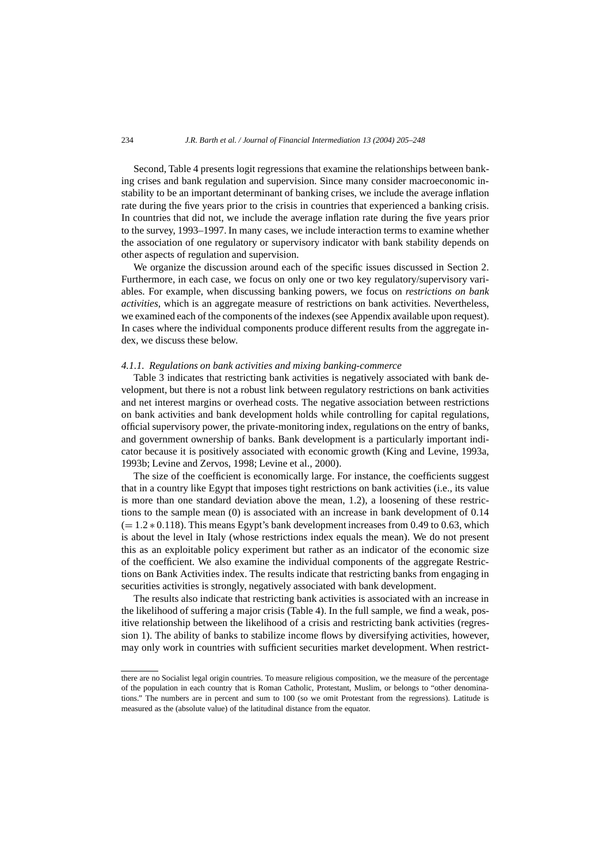#### 234 *J.R. Barth et al. / Journal of Financial Intermediation 13 (2004) 205–248*

Second, Table 4 presents logit regressions that examine the relationships between banking crises and bank regulation and supervision. Since many consider macroeconomic instability to be an important determinant of banking crises, we include the average inflation rate during the five years prior to the crisis in countries that experienced a banking crisis. In countries that did not, we include the average inflation rate during the five years prior to the survey, 1993–1997. In many cases, we include interaction terms to examine whether the association of one regulatory or supervisory indicator with bank stability depends on other aspects of regulation and supervision.

We organize the discussion around each of the specific issues discussed in Section 2. Furthermore, in each case, we focus on only one or two key regulatory/supervisory variables. For example, when discussing banking powers, we focus on *restrictions on bank activities*, which is an aggregate measure of restrictions on bank activities. Nevertheless, we examined each of the components of the indexes (see Appendix available upon request). In cases where the individual components produce different results from the aggregate index, we discuss these below.

## *4.1.1. Regulations on bank activities and mixing banking-commerce*

Table 3 indicates that restricting bank activities is negatively associated with bank development, but there is not a robust link between regulatory restrictions on bank activities and net interest margins or overhead costs. The negative association between restrictions on bank activities and bank development holds while controlling for capital regulations, official supervisory power, the private-monitoring index, regulations on the entry of banks, and government ownership of banks. Bank development is a particularly important indicator because it is positively associated with economic growth (King and Levine, 1993a, 1993b; Levine and Zervos, 1998; Levine et al., 2000).

The size of the coefficient is economically large. For instance, the coefficients suggest that in a country like Egypt that imposes tight restrictions on bank activities (i.e., its value is more than one standard deviation above the mean, 1.2), a loosening of these restrictions to the sample mean (0) is associated with an increase in bank development of 0.14 (= 1*.*2 ∗ 0*.*118). This means Egypt's bank development increases from 0.49 to 0.63, which is about the level in Italy (whose restrictions index equals the mean). We do not present this as an exploitable policy experiment but rather as an indicator of the economic size of the coefficient. We also examine the individual components of the aggregate Restrictions on Bank Activities index. The results indicate that restricting banks from engaging in securities activities is strongly, negatively associated with bank development.

The results also indicate that restricting bank activities is associated with an increase in the likelihood of suffering a major crisis (Table 4). In the full sample, we find a weak, positive relationship between the likelihood of a crisis and restricting bank activities (regression 1). The ability of banks to stabilize income flows by diversifying activities, however, may only work in countries with sufficient securities market development. When restrict-

there are no Socialist legal origin countries. To measure religious composition, we the measure of the percentage of the population in each country that is Roman Catholic, Protestant, Muslim, or belongs to "other denominations." The numbers are in percent and sum to 100 (so we omit Protestant from the regressions). Latitude is measured as the (absolute value) of the latitudinal distance from the equator.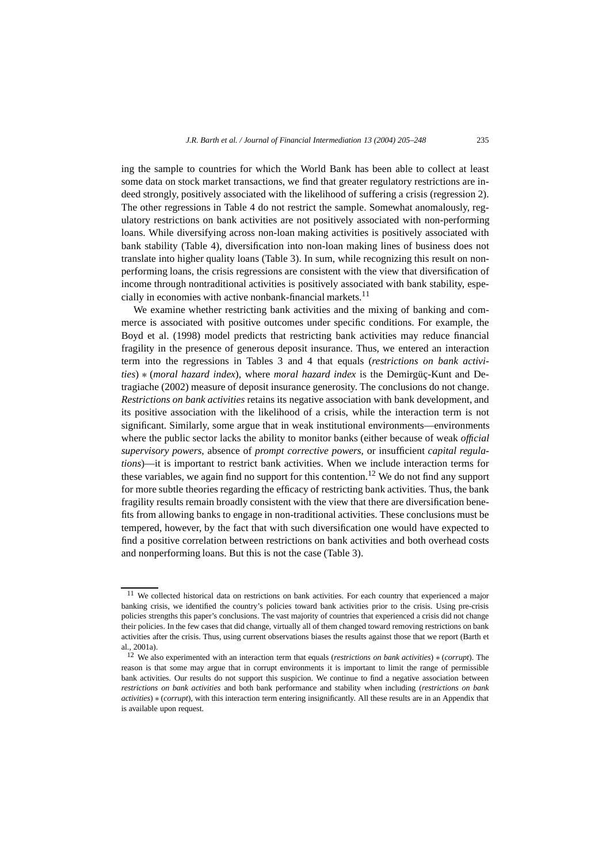ing the sample to countries for which the World Bank has been able to collect at least some data on stock market transactions, we find that greater regulatory restrictions are indeed strongly, positively associated with the likelihood of suffering a crisis (regression 2). The other regressions in Table 4 do not restrict the sample. Somewhat anomalously, regulatory restrictions on bank activities are not positively associated with non-performing loans. While diversifying across non-loan making activities is positively associated with bank stability (Table 4), diversification into non-loan making lines of business does not translate into higher quality loans (Table 3). In sum, while recognizing this result on nonperforming loans, the crisis regressions are consistent with the view that diversification of income through nontraditional activities is positively associated with bank stability, especially in economies with active nonbank-financial markets.<sup>11</sup>

We examine whether restricting bank activities and the mixing of banking and commerce is associated with positive outcomes under specific conditions. For example, the Boyd et al. (1998) model predicts that restricting bank activities may reduce financial fragility in the presence of generous deposit insurance. Thus, we entered an interaction term into the regressions in Tables 3 and 4 that equals (*restrictions on bank activities*) ∗ (*moral hazard index*), where *moral hazard index* is the Demirgüç-Kunt and Detragiache (2002) measure of deposit insurance generosity. The conclusions do not change. *Restrictions on bank activities* retains its negative association with bank development, and its positive association with the likelihood of a crisis, while the interaction term is not significant. Similarly, some argue that in weak institutional environments—environments where the public sector lacks the ability to monitor banks (either because of weak *official supervisory powers*, absence of *prompt corrective powers*, or insufficient *capital regulations*)—it is important to restrict bank activities. When we include interaction terms for these variables, we again find no support for this contention.<sup>12</sup> We do not find any support for more subtle theories regarding the efficacy of restricting bank activities. Thus, the bank fragility results remain broadly consistent with the view that there are diversification benefits from allowing banks to engage in non-traditional activities. These conclusions must be tempered, however, by the fact that with such diversification one would have expected to find a positive correlation between restrictions on bank activities and both overhead costs and nonperforming loans. But this is not the case (Table 3).

<sup>&</sup>lt;sup>11</sup> We collected historical data on restrictions on bank activities. For each country that experienced a major banking crisis, we identified the country's policies toward bank activities prior to the crisis. Using pre-crisis policies strengths this paper's conclusions. The vast majority of countries that experienced a crisis did not change their policies. In the few cases that did change, virtually all of them changed toward removing restrictions on bank activities after the crisis. Thus, using current observations biases the results against those that we report (Barth et al., 2001a).

<sup>12</sup> We also experimented with an interaction term that equals (*restrictions on bank activities*) <sup>∗</sup> (*corrupt*). The reason is that some may argue that in corrupt environments it is important to limit the range of permissible bank activities. Our results do not support this suspicion. We continue to find a negative association between *restrictions on bank activities* and both bank performance and stability when including (*restrictions on bank activities*) ∗ (*corrupt*), with this interaction term entering insignificantly. All these results are in an Appendix that is available upon request.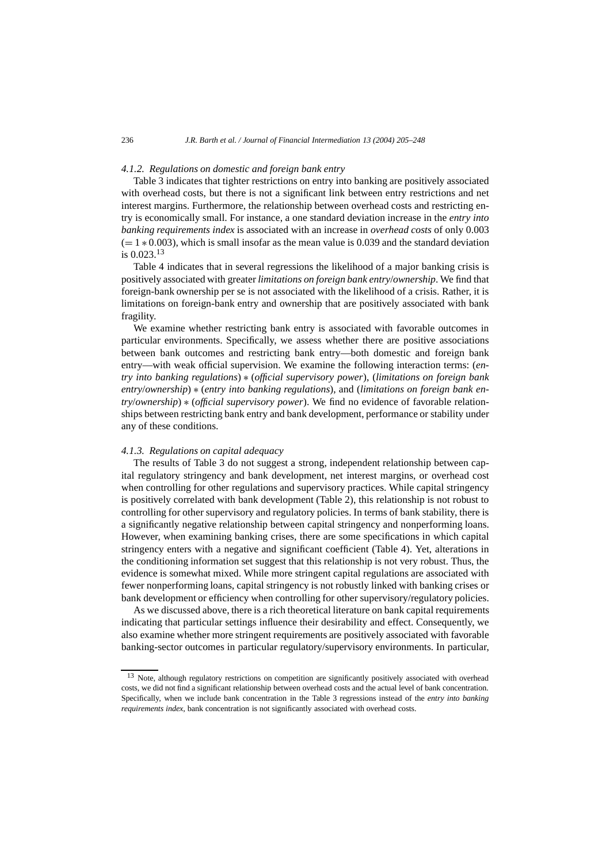#### *4.1.2. Regulations on domestic and foreign bank entry*

Table 3 indicates that tighter restrictions on entry into banking are positively associated with overhead costs, but there is not a significant link between entry restrictions and net interest margins. Furthermore, the relationship between overhead costs and restricting entry is economically small. For instance, a one standard deviation increase in the *entry into banking requirements index* is associated with an increase in *overhead costs* of only 0.003  $(= 1 * 0.003)$ , which is small insofar as the mean value is 0.039 and the standard deviation is  $0.023^{13}$ 

Table 4 indicates that in several regressions the likelihood of a major banking crisis is positively associated with greater *limitations on foreign bank entry*/*ownership*. We find that foreign-bank ownership per se is not associated with the likelihood of a crisis. Rather, it is limitations on foreign-bank entry and ownership that are positively associated with bank fragility.

We examine whether restricting bank entry is associated with favorable outcomes in particular environments. Specifically, we assess whether there are positive associations between bank outcomes and restricting bank entry—both domestic and foreign bank entry—with weak official supervision. We examine the following interaction terms: (*entry into banking regulations*) ∗ (*official supervisory power*), (*limitations on foreign bank entry*/*ownership*) ∗ (*entry into banking regulations*), and (*limitations on foreign bank entry*/*ownership*) ∗ (*official supervisory power*). We find no evidence of favorable relationships between restricting bank entry and bank development, performance or stability under any of these conditions.

#### *4.1.3. Regulations on capital adequacy*

The results of Table 3 do not suggest a strong, independent relationship between capital regulatory stringency and bank development, net interest margins, or overhead cost when controlling for other regulations and supervisory practices. While capital stringency is positively correlated with bank development (Table 2), this relationship is not robust to controlling for other supervisory and regulatory policies. In terms of bank stability, there is a significantly negative relationship between capital stringency and nonperforming loans. However, when examining banking crises, there are some specifications in which capital stringency enters with a negative and significant coefficient (Table 4). Yet, alterations in the conditioning information set suggest that this relationship is not very robust. Thus, the evidence is somewhat mixed. While more stringent capital regulations are associated with fewer nonperforming loans, capital stringency is not robustly linked with banking crises or bank development or efficiency when controlling for other supervisory/regulatory policies.

As we discussed above, there is a rich theoretical literature on bank capital requirements indicating that particular settings influence their desirability and effect. Consequently, we also examine whether more stringent requirements are positively associated with favorable banking-sector outcomes in particular regulatory/supervisory environments. In particular,

<sup>&</sup>lt;sup>13</sup> Note, although regulatory restrictions on competition are significantly positively associated with overhead costs, we did not find a significant relationship between overhead costs and the actual level of bank concentration. Specifically, when we include bank concentration in the Table 3 regressions instead of the *entry into banking requirements index*, bank concentration is not significantly associated with overhead costs.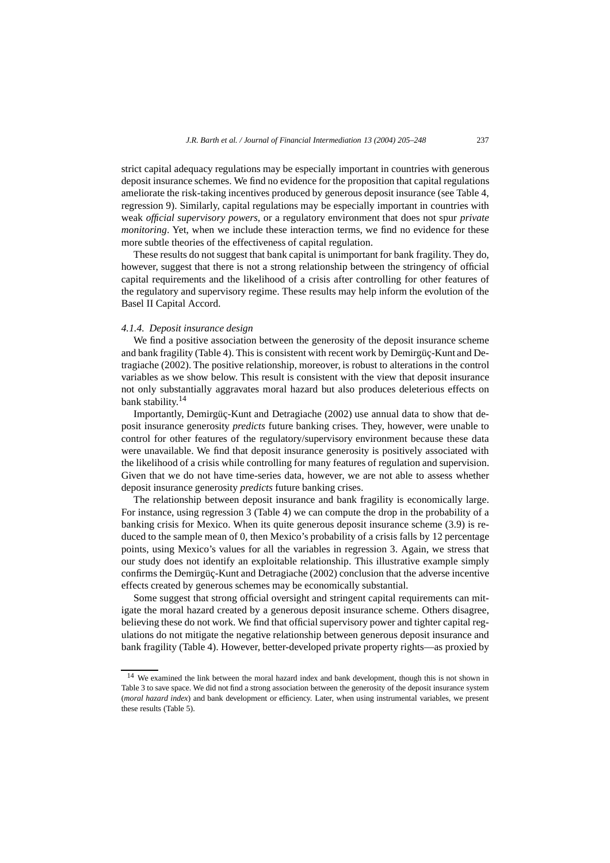strict capital adequacy regulations may be especially important in countries with generous deposit insurance schemes. We find no evidence for the proposition that capital regulations ameliorate the risk-taking incentives produced by generous deposit insurance (see Table 4, regression 9). Similarly, capital regulations may be especially important in countries with weak *official supervisory powers*, or a regulatory environment that does not spur *private monitoring*. Yet, when we include these interaction terms, we find no evidence for these more subtle theories of the effectiveness of capital regulation.

These results do not suggest that bank capital is unimportant for bank fragility. They do, however, suggest that there is not a strong relationship between the stringency of official capital requirements and the likelihood of a crisis after controlling for other features of the regulatory and supervisory regime. These results may help inform the evolution of the Basel II Capital Accord.

# *4.1.4. Deposit insurance design*

We find a positive association between the generosity of the deposit insurance scheme and bank fragility (Table 4). This is consistent with recent work by Demirgüç-Kunt and Detragiache (2002). The positive relationship, moreover, is robust to alterations in the control variables as we show below. This result is consistent with the view that deposit insurance not only substantially aggravates moral hazard but also produces deleterious effects on bank stability.<sup>14</sup>

Importantly, Demirgüç-Kunt and Detragiache (2002) use annual data to show that deposit insurance generosity *predicts* future banking crises. They, however, were unable to control for other features of the regulatory/supervisory environment because these data were unavailable. We find that deposit insurance generosity is positively associated with the likelihood of a crisis while controlling for many features of regulation and supervision. Given that we do not have time-series data, however, we are not able to assess whether deposit insurance generosity *predicts* future banking crises.

The relationship between deposit insurance and bank fragility is economically large. For instance, using regression 3 (Table 4) we can compute the drop in the probability of a banking crisis for Mexico. When its quite generous deposit insurance scheme (3.9) is reduced to the sample mean of 0, then Mexico's probability of a crisis falls by 12 percentage points, using Mexico's values for all the variables in regression 3. Again, we stress that our study does not identify an exploitable relationship. This illustrative example simply confirms the Demirgüç-Kunt and Detragiache (2002) conclusion that the adverse incentive effects created by generous schemes may be economically substantial.

Some suggest that strong official oversight and stringent capital requirements can mitigate the moral hazard created by a generous deposit insurance scheme. Others disagree, believing these do not work. We find that official supervisory power and tighter capital regulations do not mitigate the negative relationship between generous deposit insurance and bank fragility (Table 4). However, better-developed private property rights—as proxied by

<sup>14</sup> We examined the link between the moral hazard index and bank development, though this is not shown in Table 3 to save space. We did not find a strong association between the generosity of the deposit insurance system (*moral hazard index*) and bank development or efficiency. Later, when using instrumental variables, we present these results (Table 5).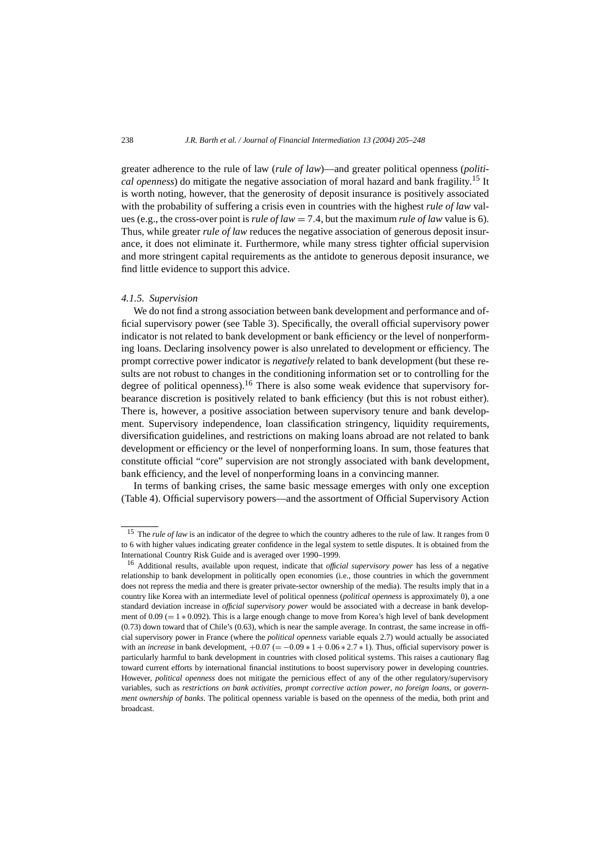greater adherence to the rule of law (*rule of law*)—and greater political openness (*political openness*) do mitigate the negative association of moral hazard and bank fragility.<sup>15</sup> It is worth noting, however, that the generosity of deposit insurance is positively associated with the probability of suffering a crisis even in countries with the highest *rule of law* values (e.g., the cross-over point is *rule of law* = 7*.*4, but the maximum *rule of law* value is 6). Thus, while greater *rule of law* reduces the negative association of generous deposit insurance, it does not eliminate it. Furthermore, while many stress tighter official supervision and more stringent capital requirements as the antidote to generous deposit insurance, we find little evidence to support this advice.

## *4.1.5. Supervision*

We do not find a strong association between bank development and performance and official supervisory power (see Table 3). Specifically, the overall official supervisory power indicator is not related to bank development or bank efficiency or the level of nonperforming loans. Declaring insolvency power is also unrelated to development or efficiency. The prompt corrective power indicator is *negatively* related to bank development (but these results are not robust to changes in the conditioning information set or to controlling for the degree of political openness).<sup>16</sup> There is also some weak evidence that supervisory forbearance discretion is positively related to bank efficiency (but this is not robust either). There is, however, a positive association between supervisory tenure and bank development. Supervisory independence, loan classification stringency, liquidity requirements, diversification guidelines, and restrictions on making loans abroad are not related to bank development or efficiency or the level of nonperforming loans. In sum, those features that constitute official "core" supervision are not strongly associated with bank development, bank efficiency, and the level of nonperforming loans in a convincing manner.

In terms of banking crises, the same basic message emerges with only one exception (Table 4). Official supervisory powers—and the assortment of Official Supervisory Action

<sup>&</sup>lt;sup>15</sup> The *rule of law* is an indicator of the degree to which the country adheres to the rule of law. It ranges from 0 to 6 with higher values indicating greater confidence in the legal system to settle disputes. It is obtained from the International Country Risk Guide and is averaged over 1990–1999.

<sup>16</sup> Additional results, available upon request, indicate that *official supervisory power* has less of a negative relationship to bank development in politically open economies (i.e., those countries in which the government does not repress the media and there is greater private-sector ownership of the media). The results imply that in a country like Korea with an intermediate level of political openness (*political openness* is approximately 0), a one standard deviation increase in *official supervisory power* would be associated with a decrease in bank development of 0.09 (= 1 ∗ 0*.*092). This is a large enough change to move from Korea's high level of bank development (0.73) down toward that of Chile's (0.63), which is near the sample average. In contrast, the same increase in official supervisory power in France (where the *political openness* variable equals 2.7) would actually be associated with an *increase* in bank development,  $+0.07 (= -0.09 * 1 + 0.06 * 2.7 * 1)$ . Thus, official supervisory power is particularly harmful to bank development in countries with closed political systems. This raises a cautionary flag toward current efforts by international financial institutions to boost supervisory power in developing countries. However, *political openness* does not mitigate the pernicious effect of any of the other regulatory/supervisory variables, such as *restrictions on bank activities*, *prompt corrective action power*, *no foreign loans*, or *government ownership of banks*. The political openness variable is based on the openness of the media, both print and broadcast.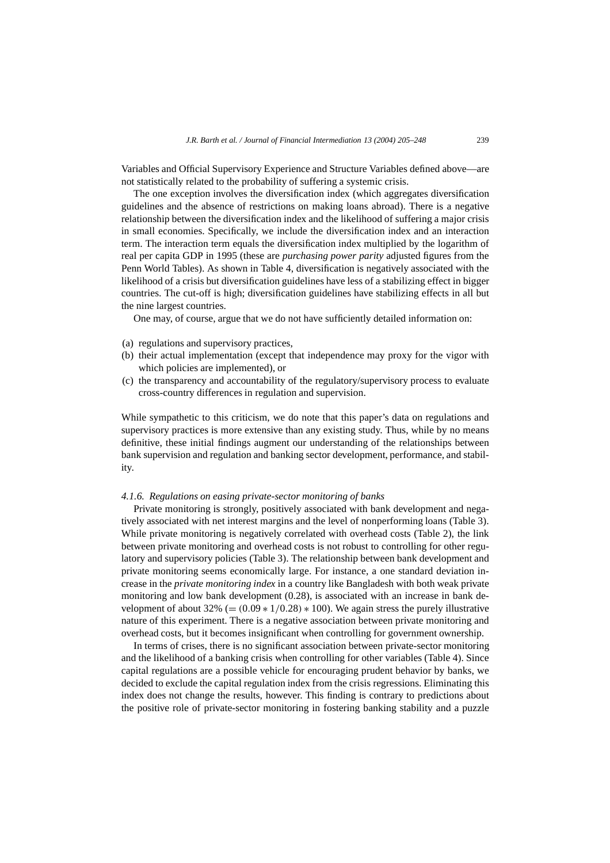Variables and Official Supervisory Experience and Structure Variables defined above—are not statistically related to the probability of suffering a systemic crisis.

The one exception involves the diversification index (which aggregates diversification guidelines and the absence of restrictions on making loans abroad). There is a negative relationship between the diversification index and the likelihood of suffering a major crisis in small economies. Specifically, we include the diversification index and an interaction term. The interaction term equals the diversification index multiplied by the logarithm of real per capita GDP in 1995 (these are *purchasing power parity* adjusted figures from the Penn World Tables). As shown in Table 4, diversification is negatively associated with the likelihood of a crisis but diversification guidelines have less of a stabilizing effect in bigger countries. The cut-off is high; diversification guidelines have stabilizing effects in all but the nine largest countries.

One may, of course, argue that we do not have sufficiently detailed information on:

- (a) regulations and supervisory practices,
- (b) their actual implementation (except that independence may proxy for the vigor with which policies are implemented), or
- (c) the transparency and accountability of the regulatory/supervisory process to evaluate cross-country differences in regulation and supervision.

While sympathetic to this criticism, we do note that this paper's data on regulations and supervisory practices is more extensive than any existing study. Thus, while by no means definitive, these initial findings augment our understanding of the relationships between bank supervision and regulation and banking sector development, performance, and stability.

#### *4.1.6. Regulations on easing private-sector monitoring of banks*

Private monitoring is strongly, positively associated with bank development and negatively associated with net interest margins and the level of nonperforming loans (Table 3). While private monitoring is negatively correlated with overhead costs (Table 2), the link between private monitoring and overhead costs is not robust to controlling for other regulatory and supervisory policies (Table 3). The relationship between bank development and private monitoring seems economically large. For instance, a one standard deviation increase in the *private monitoring index* in a country like Bangladesh with both weak private monitoring and low bank development (0.28), is associated with an increase in bank development of about  $32\%$  (=  $(0.09 * 1/0.28) * 100$ ). We again stress the purely illustrative nature of this experiment. There is a negative association between private monitoring and overhead costs, but it becomes insignificant when controlling for government ownership.

In terms of crises, there is no significant association between private-sector monitoring and the likelihood of a banking crisis when controlling for other variables (Table 4). Since capital regulations are a possible vehicle for encouraging prudent behavior by banks, we decided to exclude the capital regulation index from the crisis regressions. Eliminating this index does not change the results, however. This finding is contrary to predictions about the positive role of private-sector monitoring in fostering banking stability and a puzzle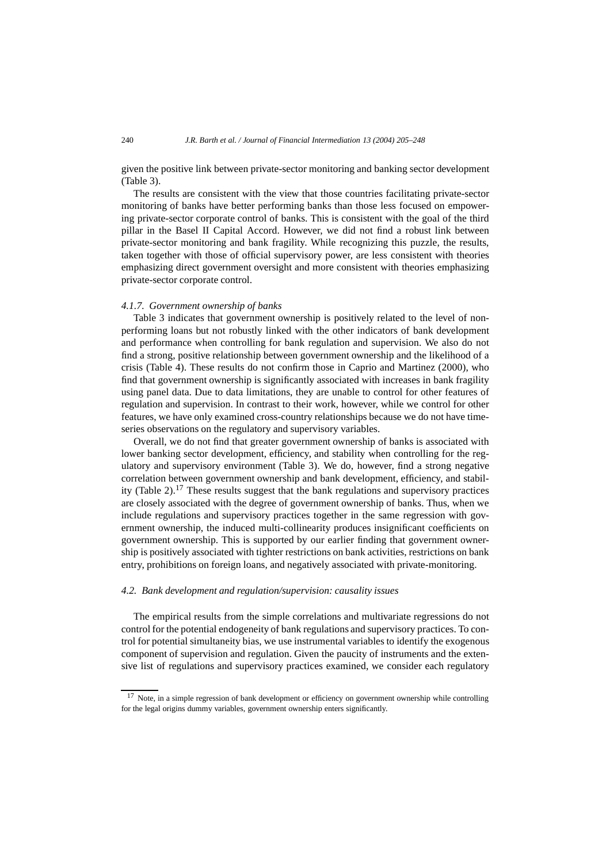given the positive link between private-sector monitoring and banking sector development (Table 3).

The results are consistent with the view that those countries facilitating private-sector monitoring of banks have better performing banks than those less focused on empowering private-sector corporate control of banks. This is consistent with the goal of the third pillar in the Basel II Capital Accord. However, we did not find a robust link between private-sector monitoring and bank fragility. While recognizing this puzzle, the results, taken together with those of official supervisory power, are less consistent with theories emphasizing direct government oversight and more consistent with theories emphasizing private-sector corporate control.

## *4.1.7. Government ownership of banks*

Table 3 indicates that government ownership is positively related to the level of nonperforming loans but not robustly linked with the other indicators of bank development and performance when controlling for bank regulation and supervision. We also do not find a strong, positive relationship between government ownership and the likelihood of a crisis (Table 4). These results do not confirm those in Caprio and Martinez (2000), who find that government ownership is significantly associated with increases in bank fragility using panel data. Due to data limitations, they are unable to control for other features of regulation and supervision. In contrast to their work, however, while we control for other features, we have only examined cross-country relationships because we do not have timeseries observations on the regulatory and supervisory variables.

Overall, we do not find that greater government ownership of banks is associated with lower banking sector development, efficiency, and stability when controlling for the regulatory and supervisory environment (Table 3). We do, however, find a strong negative correlation between government ownership and bank development, efficiency, and stability (Table 2).<sup>17</sup> These results suggest that the bank regulations and supervisory practices are closely associated with the degree of government ownership of banks. Thus, when we include regulations and supervisory practices together in the same regression with government ownership, the induced multi-collinearity produces insignificant coefficients on government ownership. This is supported by our earlier finding that government ownership is positively associated with tighter restrictions on bank activities, restrictions on bank entry, prohibitions on foreign loans, and negatively associated with private-monitoring.

## *4.2. Bank development and regulation/supervision: causality issues*

The empirical results from the simple correlations and multivariate regressions do not control for the potential endogeneity of bank regulations and supervisory practices. To control for potential simultaneity bias, we use instrumental variables to identify the exogenous component of supervision and regulation. Given the paucity of instruments and the extensive list of regulations and supervisory practices examined, we consider each regulatory

<sup>&</sup>lt;sup>17</sup> Note, in a simple regression of bank development or efficiency on government ownership while controlling for the legal origins dummy variables, government ownership enters significantly.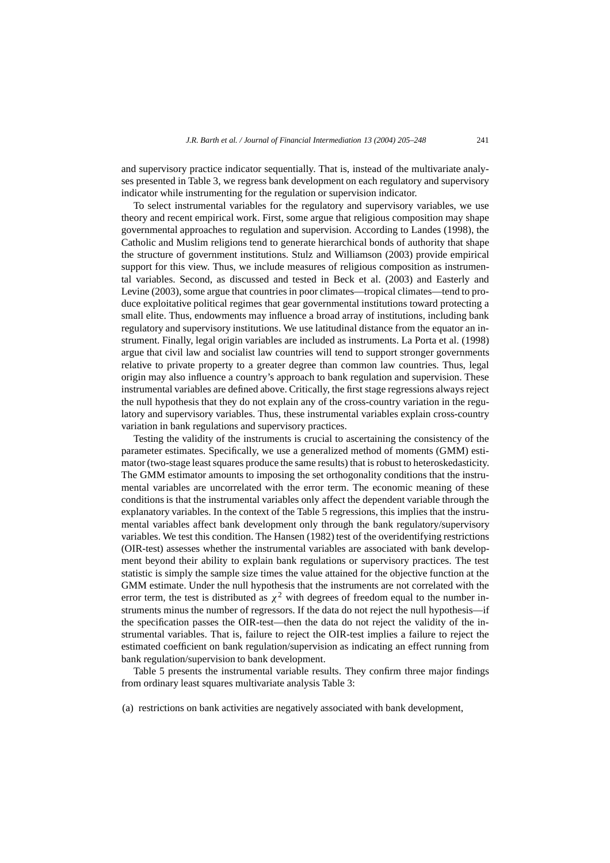and supervisory practice indicator sequentially. That is, instead of the multivariate analyses presented in Table 3, we regress bank development on each regulatory and supervisory indicator while instrumenting for the regulation or supervision indicator.

To select instrumental variables for the regulatory and supervisory variables, we use theory and recent empirical work. First, some argue that religious composition may shape governmental approaches to regulation and supervision. According to Landes (1998), the Catholic and Muslim religions tend to generate hierarchical bonds of authority that shape the structure of government institutions. Stulz and Williamson (2003) provide empirical support for this view. Thus, we include measures of religious composition as instrumental variables. Second, as discussed and tested in Beck et al. (2003) and Easterly and Levine (2003), some argue that countries in poor climates—tropical climates—tend to produce exploitative political regimes that gear governmental institutions toward protecting a small elite. Thus, endowments may influence a broad array of institutions, including bank regulatory and supervisory institutions. We use latitudinal distance from the equator an instrument. Finally, legal origin variables are included as instruments. La Porta et al. (1998) argue that civil law and socialist law countries will tend to support stronger governments relative to private property to a greater degree than common law countries. Thus, legal origin may also influence a country's approach to bank regulation and supervision. These instrumental variables are defined above. Critically, the first stage regressions always reject the null hypothesis that they do not explain any of the cross-country variation in the regulatory and supervisory variables. Thus, these instrumental variables explain cross-country variation in bank regulations and supervisory practices.

Testing the validity of the instruments is crucial to ascertaining the consistency of the parameter estimates. Specifically, we use a generalized method of moments (GMM) estimator (two-stage least squares produce the same results) that is robust to heteroskedasticity. The GMM estimator amounts to imposing the set orthogonality conditions that the instrumental variables are uncorrelated with the error term. The economic meaning of these conditions is that the instrumental variables only affect the dependent variable through the explanatory variables. In the context of the Table 5 regressions, this implies that the instrumental variables affect bank development only through the bank regulatory/supervisory variables. We test this condition. The Hansen (1982) test of the overidentifying restrictions (OIR-test) assesses whether the instrumental variables are associated with bank development beyond their ability to explain bank regulations or supervisory practices. The test statistic is simply the sample size times the value attained for the objective function at the GMM estimate. Under the null hypothesis that the instruments are not correlated with the error term, the test is distributed as  $\chi^2$  with degrees of freedom equal to the number instruments minus the number of regressors. If the data do not reject the null hypothesis—if the specification passes the OIR-test—then the data do not reject the validity of the instrumental variables. That is, failure to reject the OIR-test implies a failure to reject the estimated coefficient on bank regulation/supervision as indicating an effect running from bank regulation/supervision to bank development.

Table 5 presents the instrumental variable results. They confirm three major findings from ordinary least squares multivariate analysis Table 3:

(a) restrictions on bank activities are negatively associated with bank development,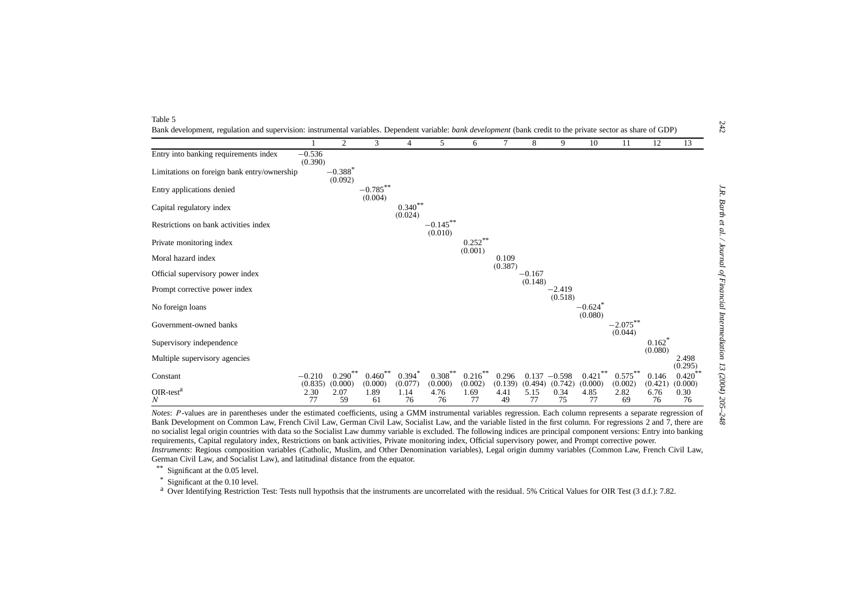|                                             |                     | 2                           | 3                      | 4                    | 5                      | 6                     | 7                | 8                   | 9                   | 10                    | 11                     | 12               | 13                         |
|---------------------------------------------|---------------------|-----------------------------|------------------------|----------------------|------------------------|-----------------------|------------------|---------------------|---------------------|-----------------------|------------------------|------------------|----------------------------|
| Entry into banking requirements index       | $-0.536$<br>(0.390) |                             |                        |                      |                        |                       |                  |                     |                     |                       |                        |                  |                            |
| Limitations on foreign bank entry/ownership |                     | $-0.388^{\circ}$<br>(0.092) |                        |                      |                        |                       |                  |                     |                     |                       |                        |                  |                            |
| Entry applications denied                   |                     |                             | $-0.785***$<br>(0.004) |                      |                        |                       |                  |                     |                     |                       |                        |                  |                            |
| Capital regulatory index                    |                     |                             |                        | $0.340**$<br>(0.024) |                        |                       |                  |                     |                     |                       |                        |                  |                            |
| Restrictions on bank activities index       |                     |                             |                        |                      | $-0.145***$<br>(0.010) |                       |                  |                     |                     |                       |                        |                  |                            |
| Private monitoring index                    |                     |                             |                        |                      |                        | $0.252***$<br>(0.001) |                  |                     |                     |                       |                        |                  |                            |
| Moral hazard index                          |                     |                             |                        |                      |                        |                       | 0.109<br>(0.387) |                     |                     |                       |                        |                  |                            |
| Official supervisory power index            |                     |                             |                        |                      |                        |                       |                  | $-0.167$<br>(0.148) |                     |                       |                        |                  |                            |
| Prompt corrective power index               |                     |                             |                        |                      |                        |                       |                  |                     | $-2.419$<br>(0.518) |                       |                        |                  |                            |
| No foreign loans                            |                     |                             |                        |                      |                        |                       |                  |                     |                     | $-0.624$<br>(0.080)   |                        |                  |                            |
| Government-owned banks                      |                     |                             |                        |                      |                        |                       |                  |                     |                     |                       | $-2.075***$<br>(0.044) |                  |                            |
| Supervisory independence                    |                     |                             |                        |                      |                        |                       |                  |                     |                     |                       |                        | 0.162<br>(0.080) |                            |
| Multiple supervisory agencies               |                     |                             |                        |                      |                        |                       |                  |                     |                     |                       |                        |                  | 2.498<br>(0.295)           |
| Constant                                    | $-0.210$<br>(0.835) | $0.290**$<br>(0.000)        | $0.460$ **<br>(0.000)  | $0.394*$<br>(0.077)  | $0.308***$<br>(0.000)  | $0.216***$<br>(0.002) | 0.296<br>(0.139) | 0.137<br>(0.494)    | $-0.598$<br>(0.742) | $0.421***$<br>(0.000) | $0.575***$<br>(0.002)  | 0.146<br>(0.421) | $0.420^{\circ}$<br>(0.000) |
| $OIR-testa$<br>N                            | 2.30<br>77          | 2.07<br>59                  | 1.89<br>61             | 1.14<br>76           | 4.76<br>76             | 1.69<br>77            | 4.41<br>49       | 5.15<br>77          | 0.34<br>75          | 4.85<br>77            | 2.82<br>69             | 6.76<br>76       | 0.30<br>76                 |

no socialist legal origin countries with data so the Socialist Law dummy variable is excluded. The following indices are principal componen<sup>t</sup> versions: Entry into banking requirements, Capital regulatory index, Restrictions on bank activities, Private monitoring index, Official supervisory power, and Prompt corrective power. *Instruments*: Regious composition variables (Catholic, Muslim, and Other Denomination variables), Legal origin dummy variables (Common Law, French Civil Law, German Civil Law, and Socialist Law), and latitudinal distance from the equator.

\*\* Significant at the 0.05 level.

\* Significant at the 0.10 level.

<sup>a</sup> Over Identifying Restriction Test: Tests null hypothsis that the instruments are uncorrelated with the residual. 5% Critical Values for OIR Test (3 d.f.): 7.82.

242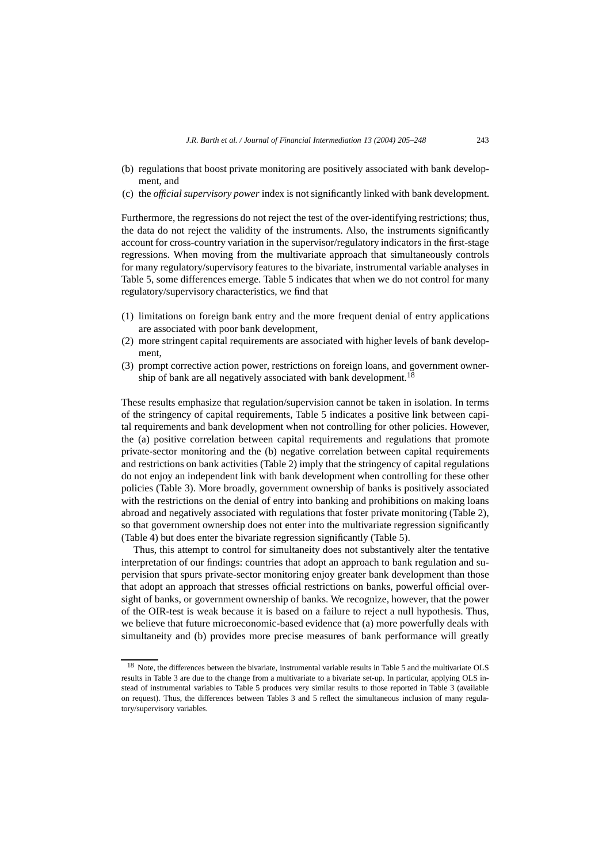- (b) regulations that boost private monitoring are positively associated with bank development, and
- (c) the *official supervisory power* index is not significantly linked with bank development.

Furthermore, the regressions do not reject the test of the over-identifying restrictions; thus, the data do not reject the validity of the instruments. Also, the instruments significantly account for cross-country variation in the supervisor/regulatory indicators in the first-stage regressions. When moving from the multivariate approach that simultaneously controls for many regulatory/supervisory features to the bivariate, instrumental variable analyses in Table 5, some differences emerge. Table 5 indicates that when we do not control for many regulatory/supervisory characteristics, we find that

- (1) limitations on foreign bank entry and the more frequent denial of entry applications are associated with poor bank development,
- (2) more stringent capital requirements are associated with higher levels of bank development,
- (3) prompt corrective action power, restrictions on foreign loans, and government ownership of bank are all negatively associated with bank development.<sup>18</sup>

These results emphasize that regulation/supervision cannot be taken in isolation. In terms of the stringency of capital requirements, Table 5 indicates a positive link between capital requirements and bank development when not controlling for other policies. However, the (a) positive correlation between capital requirements and regulations that promote private-sector monitoring and the (b) negative correlation between capital requirements and restrictions on bank activities (Table 2) imply that the stringency of capital regulations do not enjoy an independent link with bank development when controlling for these other policies (Table 3). More broadly, government ownership of banks is positively associated with the restrictions on the denial of entry into banking and prohibitions on making loans abroad and negatively associated with regulations that foster private monitoring (Table 2), so that government ownership does not enter into the multivariate regression significantly (Table 4) but does enter the bivariate regression significantly (Table 5).

Thus, this attempt to control for simultaneity does not substantively alter the tentative interpretation of our findings: countries that adopt an approach to bank regulation and supervision that spurs private-sector monitoring enjoy greater bank development than those that adopt an approach that stresses official restrictions on banks, powerful official oversight of banks, or government ownership of banks. We recognize, however, that the power of the OIR-test is weak because it is based on a failure to reject a null hypothesis. Thus, we believe that future microeconomic-based evidence that (a) more powerfully deals with simultaneity and (b) provides more precise measures of bank performance will greatly

<sup>&</sup>lt;sup>18</sup> Note, the differences between the bivariate, instrumental variable results in Table 5 and the multivariate OLS results in Table 3 are due to the change from a multivariate to a bivariate set-up. In particular, applying OLS instead of instrumental variables to Table 5 produces very similar results to those reported in Table 3 (available on request). Thus, the differences between Tables 3 and 5 reflect the simultaneous inclusion of many regulatory/supervisory variables.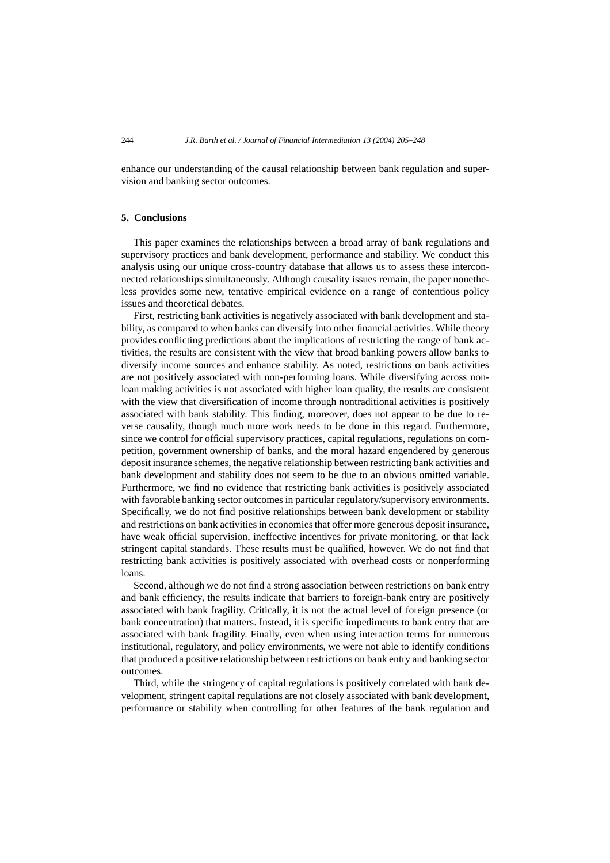enhance our understanding of the causal relationship between bank regulation and supervision and banking sector outcomes.

# **5. Conclusions**

This paper examines the relationships between a broad array of bank regulations and supervisory practices and bank development, performance and stability. We conduct this analysis using our unique cross-country database that allows us to assess these interconnected relationships simultaneously. Although causality issues remain, the paper nonetheless provides some new, tentative empirical evidence on a range of contentious policy issues and theoretical debates.

First, restricting bank activities is negatively associated with bank development and stability, as compared to when banks can diversify into other financial activities. While theory provides conflicting predictions about the implications of restricting the range of bank activities, the results are consistent with the view that broad banking powers allow banks to diversify income sources and enhance stability. As noted, restrictions on bank activities are not positively associated with non-performing loans. While diversifying across nonloan making activities is not associated with higher loan quality, the results are consistent with the view that diversification of income through nontraditional activities is positively associated with bank stability. This finding, moreover, does not appear to be due to reverse causality, though much more work needs to be done in this regard. Furthermore, since we control for official supervisory practices, capital regulations, regulations on competition, government ownership of banks, and the moral hazard engendered by generous deposit insurance schemes, the negative relationship between restricting bank activities and bank development and stability does not seem to be due to an obvious omitted variable. Furthermore, we find no evidence that restricting bank activities is positively associated with favorable banking sector outcomes in particular regulatory/supervisory environments. Specifically, we do not find positive relationships between bank development or stability and restrictions on bank activities in economies that offer more generous deposit insurance, have weak official supervision, ineffective incentives for private monitoring, or that lack stringent capital standards. These results must be qualified, however. We do not find that restricting bank activities is positively associated with overhead costs or nonperforming loans.

Second, although we do not find a strong association between restrictions on bank entry and bank efficiency, the results indicate that barriers to foreign-bank entry are positively associated with bank fragility. Critically, it is not the actual level of foreign presence (or bank concentration) that matters. Instead, it is specific impediments to bank entry that are associated with bank fragility. Finally, even when using interaction terms for numerous institutional, regulatory, and policy environments, we were not able to identify conditions that produced a positive relationship between restrictions on bank entry and banking sector outcomes.

Third, while the stringency of capital regulations is positively correlated with bank development, stringent capital regulations are not closely associated with bank development, performance or stability when controlling for other features of the bank regulation and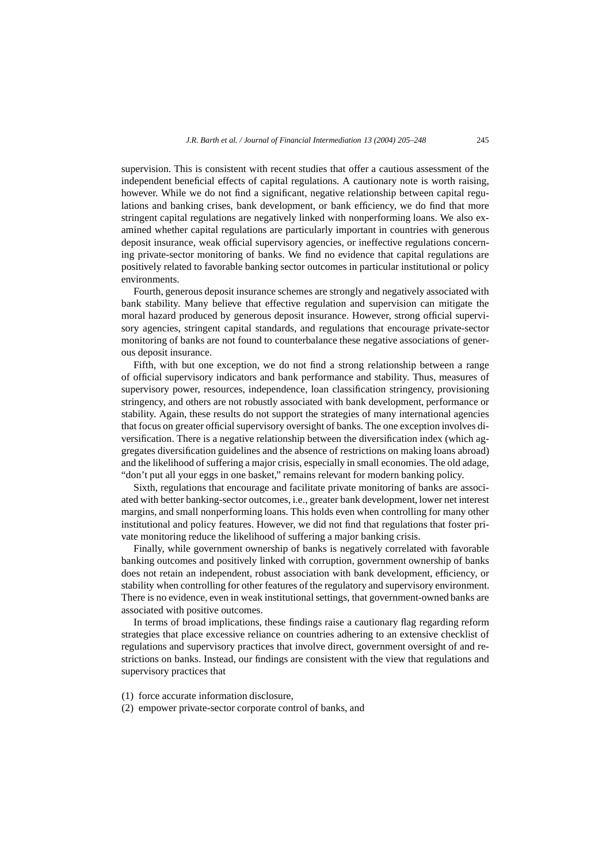supervision. This is consistent with recent studies that offer a cautious assessment of the independent beneficial effects of capital regulations. A cautionary note is worth raising, however. While we do not find a significant, negative relationship between capital regulations and banking crises, bank development, or bank efficiency, we do find that more stringent capital regulations are negatively linked with nonperforming loans. We also examined whether capital regulations are particularly important in countries with generous deposit insurance, weak official supervisory agencies, or ineffective regulations concerning private-sector monitoring of banks. We find no evidence that capital regulations are positively related to favorable banking sector outcomes in particular institutional or policy environments.

Fourth, generous deposit insurance schemes are strongly and negatively associated with bank stability. Many believe that effective regulation and supervision can mitigate the moral hazard produced by generous deposit insurance. However, strong official supervisory agencies, stringent capital standards, and regulations that encourage private-sector monitoring of banks are not found to counterbalance these negative associations of generous deposit insurance.

Fifth, with but one exception, we do not find a strong relationship between a range of official supervisory indicators and bank performance and stability. Thus, measures of supervisory power, resources, independence, loan classification stringency, provisioning stringency, and others are not robustly associated with bank development, performance or stability. Again, these results do not support the strategies of many international agencies that focus on greater official supervisory oversight of banks. The one exception involves diversification. There is a negative relationship between the diversification index (which aggregates diversification guidelines and the absence of restrictions on making loans abroad) and the likelihood of suffering a major crisis, especially in small economies. The old adage, "don't put all your eggs in one basket," remains relevant for modern banking policy.

Sixth, regulations that encourage and facilitate private monitoring of banks are associated with better banking-sector outcomes, i.e., greater bank development, lower net interest margins, and small nonperforming loans. This holds even when controlling for many other institutional and policy features. However, we did not find that regulations that foster private monitoring reduce the likelihood of suffering a major banking crisis.

Finally, while government ownership of banks is negatively correlated with favorable banking outcomes and positively linked with corruption, government ownership of banks does not retain an independent, robust association with bank development, efficiency, or stability when controlling for other features of the regulatory and supervisory environment. There is no evidence, even in weak institutional settings, that government-owned banks are associated with positive outcomes.

In terms of broad implications, these findings raise a cautionary flag regarding reform strategies that place excessive reliance on countries adhering to an extensive checklist of regulations and supervisory practices that involve direct, government oversight of and restrictions on banks. Instead, our findings are consistent with the view that regulations and supervisory practices that

- (1) force accurate information disclosure,
- (2) empower private-sector corporate control of banks, and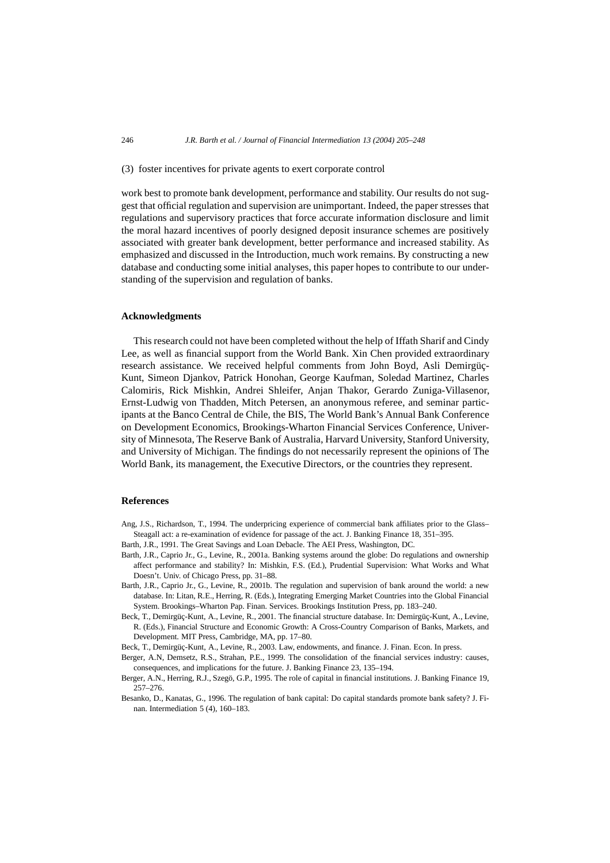#### (3) foster incentives for private agents to exert corporate control

work best to promote bank development, performance and stability. Our results do not suggest that official regulation and supervision are unimportant. Indeed, the paper stresses that regulations and supervisory practices that force accurate information disclosure and limit the moral hazard incentives of poorly designed deposit insurance schemes are positively associated with greater bank development, better performance and increased stability. As emphasized and discussed in the Introduction, much work remains. By constructing a new database and conducting some initial analyses, this paper hopes to contribute to our understanding of the supervision and regulation of banks.

#### **Acknowledgments**

This research could not have been completed without the help of Iffath Sharif and Cindy Lee, as well as financial support from the World Bank. Xin Chen provided extraordinary research assistance. We received helpful comments from John Boyd, Asli Demirgüç-Kunt, Simeon Djankov, Patrick Honohan, George Kaufman, Soledad Martinez, Charles Calomiris, Rick Mishkin, Andrei Shleifer, Anjan Thakor, Gerardo Zuniga-Villasenor, Ernst-Ludwig von Thadden, Mitch Petersen, an anonymous referee, and seminar participants at the Banco Central de Chile, the BIS, The World Bank's Annual Bank Conference on Development Economics, Brookings-Wharton Financial Services Conference, University of Minnesota, The Reserve Bank of Australia, Harvard University, Stanford University, and University of Michigan. The findings do not necessarily represent the opinions of The World Bank, its management, the Executive Directors, or the countries they represent.

# **References**

- Ang, J.S., Richardson, T., 1994. The underpricing experience of commercial bank affiliates prior to the Glass– Steagall act: a re-examination of evidence for passage of the act. J. Banking Finance 18, 351–395.
- Barth, J.R., 1991. The Great Savings and Loan Debacle. The AEI Press, Washington, DC.
- Barth, J.R., Caprio Jr., G., Levine, R., 2001a. Banking systems around the globe: Do regulations and ownership affect performance and stability? In: Mishkin, F.S. (Ed.), Prudential Supervision: What Works and What Doesn't. Univ. of Chicago Press, pp. 31–88.
- Barth, J.R., Caprio Jr., G., Levine, R., 2001b. The regulation and supervision of bank around the world: a new database. In: Litan, R.E., Herring, R. (Eds.), Integrating Emerging Market Countries into the Global Financial System. Brookings–Wharton Pap. Finan. Services. Brookings Institution Press, pp. 183–240.
- Beck, T., Demirgüç-Kunt, A., Levine, R., 2001. The financial structure database. In: Demirgüç-Kunt, A., Levine, R. (Eds.), Financial Structure and Economic Growth: A Cross-Country Comparison of Banks, Markets, and Development. MIT Press, Cambridge, MA, pp. 17–80.
- Beck, T., Demirgüç-Kunt, A., Levine, R., 2003. Law, endowments, and finance. J. Finan. Econ. In press.
- Berger, A.N, Demsetz, R.S., Strahan, P.E., 1999. The consolidation of the financial services industry: causes, consequences, and implications for the future. J. Banking Finance 23, 135–194.
- Berger, A.N., Herring, R.J., Szegö, G.P., 1995. The role of capital in financial institutions. J. Banking Finance 19, 257–276.
- Besanko, D., Kanatas, G., 1996. The regulation of bank capital: Do capital standards promote bank safety? J. Finan. Intermediation 5 (4), 160–183.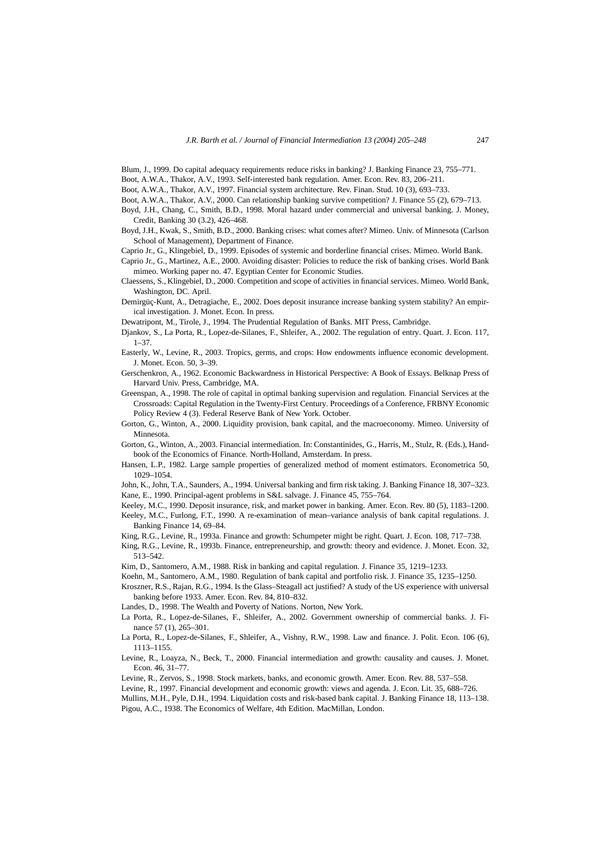- Blum, J., 1999. Do capital adequacy requirements reduce risks in banking? J. Banking Finance 23, 755–771.
- Boot, A.W.A., Thakor, A.V., 1993. Self-interested bank regulation. Amer. Econ. Rev. 83, 206–211.
- Boot, A.W.A., Thakor, A.V., 1997. Financial system architecture. Rev. Finan. Stud. 10 (3), 693–733.
- Boot, A.W.A., Thakor, A.V., 2000. Can relationship banking survive competition? J. Finance 55 (2), 679–713.
- Boyd, J.H., Chang, C., Smith, B.D., 1998. Moral hazard under commercial and universal banking. J. Money, Credit, Banking 30 (3.2), 426–468.
- Boyd, J.H., Kwak, S., Smith, B.D., 2000. Banking crises: what comes after? Mimeo. Univ. of Minnesota (Carlson School of Management), Department of Finance.
- Caprio Jr., G., Klingebiel, D., 1999. Episodes of systemic and borderline financial crises. Mimeo. World Bank.
- Caprio Jr., G., Martinez, A.E., 2000. Avoiding disaster: Policies to reduce the risk of banking crises. World Bank mimeo. Working paper no. 47. Egyptian Center for Economic Studies.
- Claessens, S., Klingebiel, D., 2000. Competition and scope of activities in financial services. Mimeo. World Bank, Washington, DC. April.
- Demirgüç-Kunt, A., Detragiache, E., 2002. Does deposit insurance increase banking system stability? An empirical investigation. J. Monet. Econ. In press.
- Dewatripont, M., Tirole, J., 1994. The Prudential Regulation of Banks. MIT Press, Cambridge.
- Djankov, S., La Porta, R., Lopez-de-Silanes, F., Shleifer, A., 2002. The regulation of entry. Quart. J. Econ. 117, 1–37.
- Easterly, W., Levine, R., 2003. Tropics, germs, and crops: How endowments influence economic development. J. Monet. Econ. 50, 3–39.
- Gerschenkron, A., 1962. Economic Backwardness in Historical Perspective: A Book of Essays. Belknap Press of Harvard Univ. Press, Cambridge, MA.
- Greenspan, A., 1998. The role of capital in optimal banking supervision and regulation. Financial Services at the Crossroads: Capital Regulation in the Twenty-First Century. Proceedings of a Conference, FRBNY Economic Policy Review 4 (3). Federal Reserve Bank of New York. October.
- Gorton, G., Winton, A., 2000. Liquidity provision, bank capital, and the macroeconomy. Mimeo. University of Minnesota.
- Gorton, G., Winton, A., 2003. Financial intermediation. In: Constantinides, G., Harris, M., Stulz, R. (Eds.), Handbook of the Economics of Finance. North-Holland, Amsterdam. In press.
- Hansen, L.P., 1982. Large sample properties of generalized method of moment estimators. Econometrica 50, 1029–1054.

John, K., John, T.A., Saunders, A., 1994. Universal banking and firm risk taking. J. Banking Finance 18, 307–323. Kane, E., 1990. Principal-agent problems in S&L salvage. J. Finance 45, 755–764.

- Keeley, M.C., 1990. Deposit insurance, risk, and market power in banking. Amer. Econ. Rev. 80 (5), 1183–1200.
- Keeley, M.C., Furlong, F.T., 1990. A re-examination of mean–variance analysis of bank capital regulations. J. Banking Finance 14, 69–84.
- King, R.G., Levine, R., 1993a. Finance and growth: Schumpeter might be right. Quart. J. Econ. 108, 717–738.
- King, R.G., Levine, R., 1993b. Finance, entrepreneurship, and growth: theory and evidence. J. Monet. Econ. 32, 513–542.
- Kim, D., Santomero, A.M., 1988. Risk in banking and capital regulation. J. Finance 35, 1219–1233.
- Koehn, M., Santomero, A.M., 1980. Regulation of bank capital and portfolio risk. J. Finance 35, 1235–1250.
- Kroszner, R.S., Rajan, R.G., 1994. Is the Glass–Steagall act justified? A study of the US experience with universal banking before 1933. Amer. Econ. Rev. 84, 810–832.
- Landes, D., 1998. The Wealth and Poverty of Nations. Norton, New York.
- La Porta, R., Lopez-de-Silanes, F., Shleifer, A., 2002. Government ownership of commercial banks. J. Finance 57 (1), 265–301.
- La Porta, R., Lopez-de-Silanes, F., Shleifer, A., Vishny, R.W., 1998. Law and finance. J. Polit. Econ. 106 (6), 1113–1155.
- Levine, R., Loayza, N., Beck, T., 2000. Financial intermediation and growth: causality and causes. J. Monet. Econ. 46, 31–77.
- Levine, R., Zervos, S., 1998. Stock markets, banks, and economic growth. Amer. Econ. Rev. 88, 537–558.
- Levine, R., 1997. Financial development and economic growth: views and agenda. J. Econ. Lit. 35, 688–726.
- Mullins, M.H., Pyle, D.H., 1994. Liquidation costs and risk-based bank capital. J. Banking Finance 18, 113–138. Pigou, A.C., 1938. The Economics of Welfare, 4th Edition. MacMillan, London.